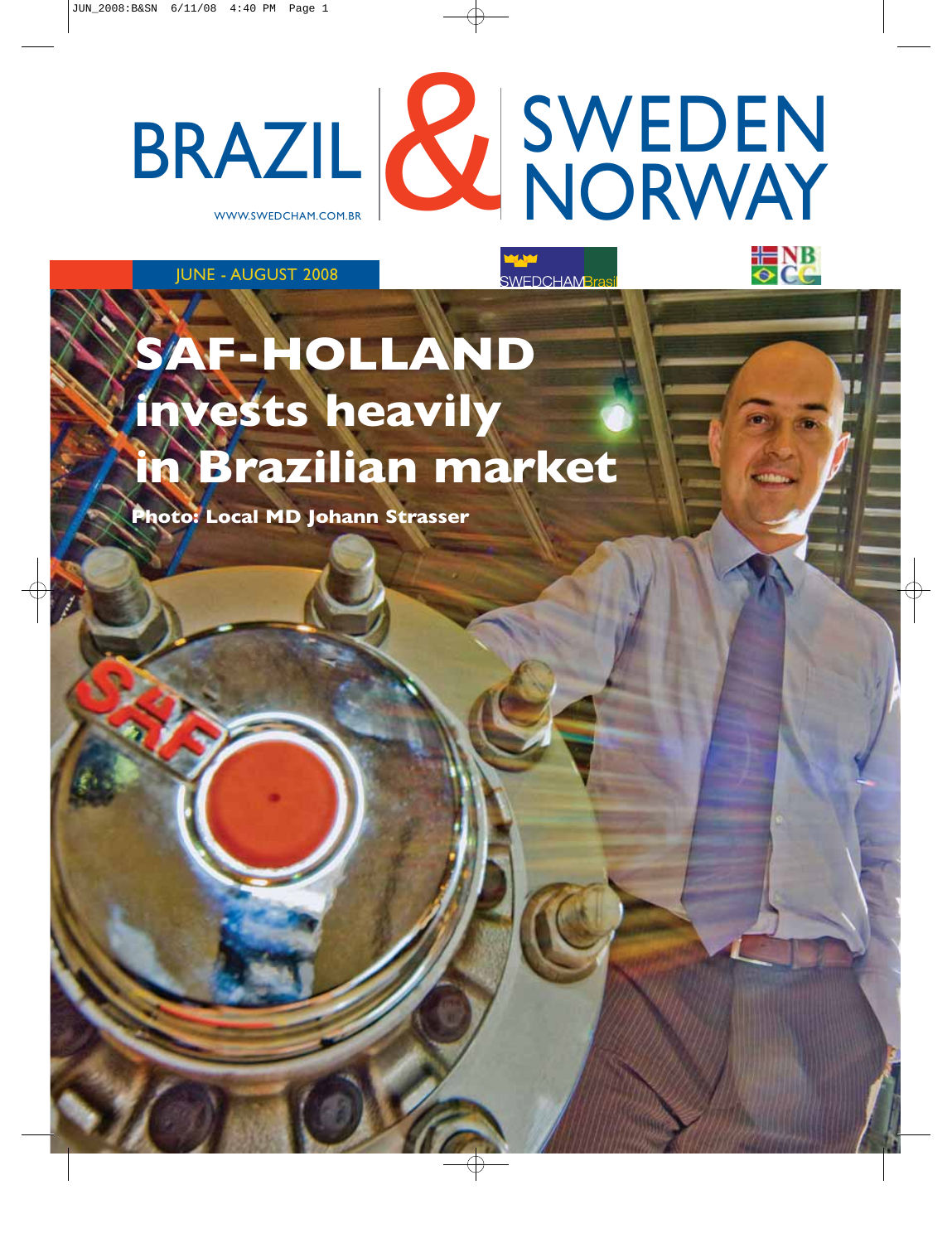WWW.SWEDCHAM.COM.BR SWEDEN BRAZIL & SWEDEN

**SWEDCHAMBras** 

JUNE - AUGUST 2008

# **SAF-HOLLAND invests heavily in Brazilian market**

**Photo: Local MD Johann Strasser**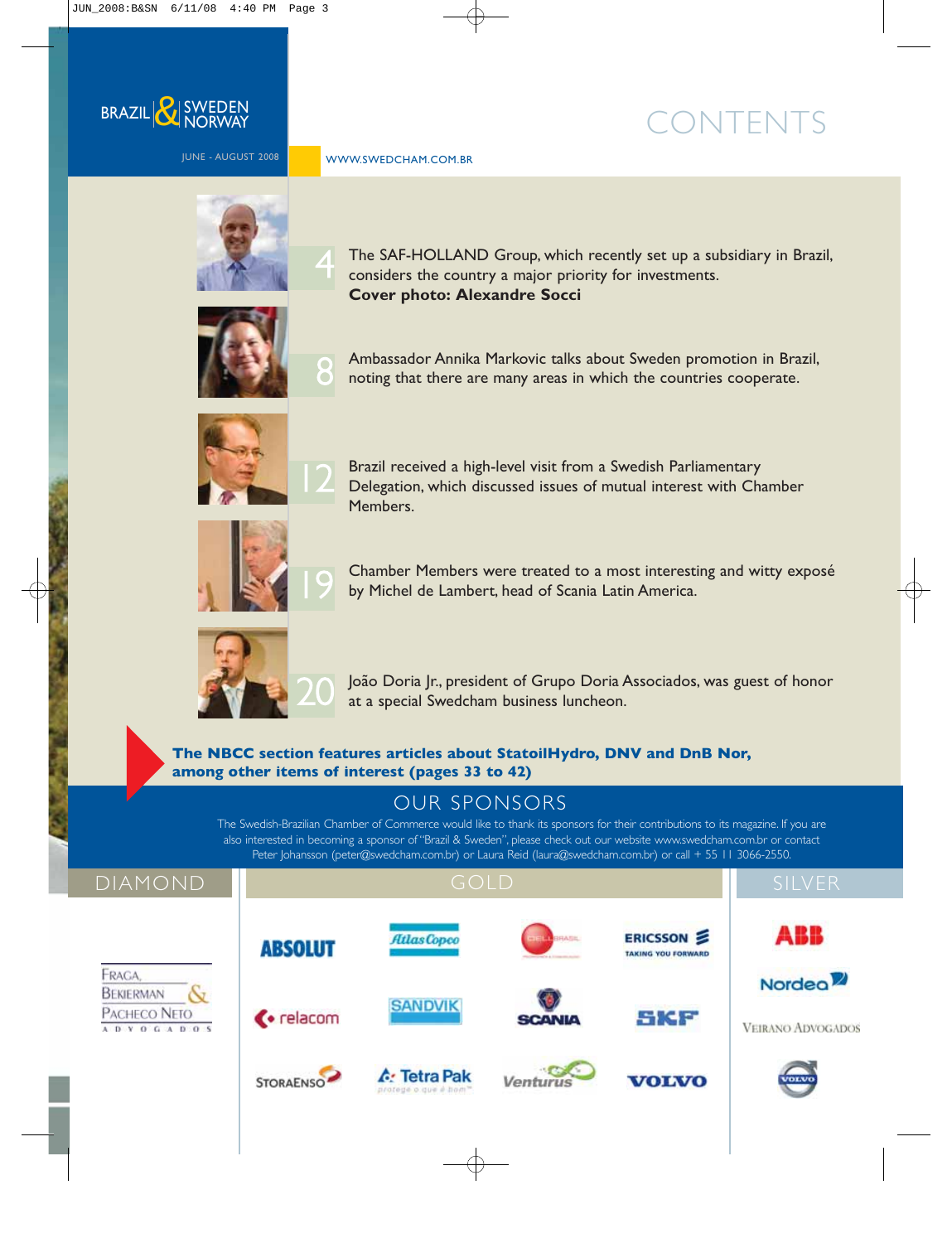

JUNE - AUGUST 2008

WWW.SWEDCHAM.COM.BR

## CONTENTS



4

The SAF-HOLLAND Group, which recently set up a subsidiary in Brazil, considers the country a major priority for investments. **Cover photo: Alexandre Socci**



Ambassador Annika Markovic talks about Sweden promotion in Brazil, noting that there are many areas in which the countries cooperate.



Brazil received a high-level visit from a Swedish Parliamentary Delegation, which discussed issues of mutual interest with Chamber Members.



Chamber Members were treated to a most interesting and witty exposé by Michel de Lambert, head of Scania Latin America.



João Doria Jr., president of Grupo Doria Associados, was guest of honor at a special Swedcham business luncheon.

**The NBCC section features articles about StatoilHydro, DNV and DnB Nor, among other items of interest (pages 33 to 42)**

### OUR SPONSORS

The Swedish-Brazilian Chamber of Commerce would like to thank its sponsors for their contributions to its magazine. If you are also interested in becoming a sponsor of "Brazil & Sweden", please check out our website www.swedcham.com.br or contact Peter Johansson (peter@swedcham.com.br) or Laura Reid (laura@swedcham.com.br) or call + 55 11 3066-2550.

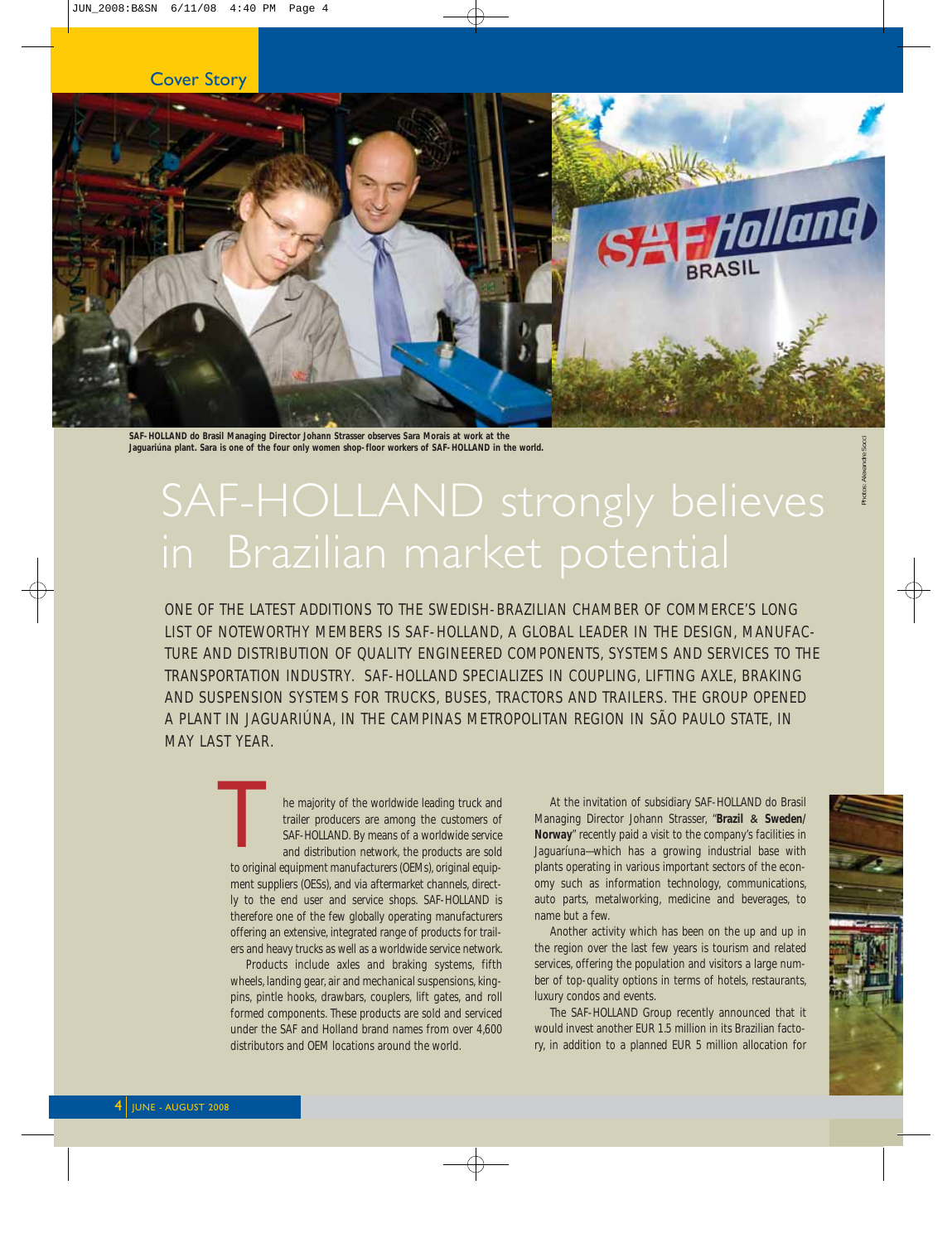

**Jaguariúna plant. Sara is one of the four only women shop-floor workers of SAF-HOLLAND in the world.**

ONE OF THE LATEST ADDITIONS TO THE SWEDISH-BRAZILIAN CHAMBER OF COMMERCE'S LONG LIST OF NOTEWORTHY MEMBERS IS SAF-HOLLAND, A GLOBAL LEADER IN THE DESIGN, MANUFAC-TURE AND DISTRIBUTION OF QUALITY ENGINEERED COMPONENTS, SYSTEMS AND SERVICES TO THE TRANSPORTATION INDUSTRY. SAF-HOLLAND SPECIALIZES IN COUPLING, LIFTING AXLE, BRAKING AND SUSPENSION SYSTEMS FOR TRUCKS, BUSES, TRACTORS AND TRAILERS. THE GROUP OPENED A PLANT IN JAGUARIÚNA, IN THE CAMPINAS METROPOLITAN REGION IN SÃO PAULO STATE, IN MAY LAST YEAR.

he majority of the worldwide leading truck and trailer producers are among the customers of SAF-HOLLAND. By means of a worldwide service and distribution network, the products are sold to original equipment manufacturers (OEMs), original equipment suppliers (OESs), and via aftermarket channels, directly to the end user and service shops. SAF-HOLLAND is therefore one of the few globally operating manufacturers offering an extensive, integrated range of products for trailers and heavy trucks as well as a worldwide service network.  $\begin{array}{c}\n\hline\n\end{array}$ 

Products include axles and braking systems, fifth wheels, landing gear, air and mechanical suspensions, kingpins, pintle hooks, drawbars, couplers, lift gates, and roll formed components. These products are sold and serviced under the SAF and Holland brand names from over 4,600 distributors and OEM locations around the world.

At the invitation of subsidiary SAF-HOLLAND do Brasil Managing Director Johann Strasser, "**Brazil** & **Sweden/ Norway**" recently paid a visit to the company's facilities in Jaguaríuna—which has a growing industrial base with plants operating in various important sectors of the economy such as information technology, communications, auto parts, metalworking, medicine and beverages, to name but a few.

Another activity which has been on the up and up in the region over the last few years is tourism and related services, offering the population and visitors a large number of top-quality options in terms of hotels, restaurants, luxury condos and events.

The SAF-HOLLAND Group recently announced that it would invest another EUR 1.5 million in its Brazilian factory, in addition to a planned EUR 5 million allocation for

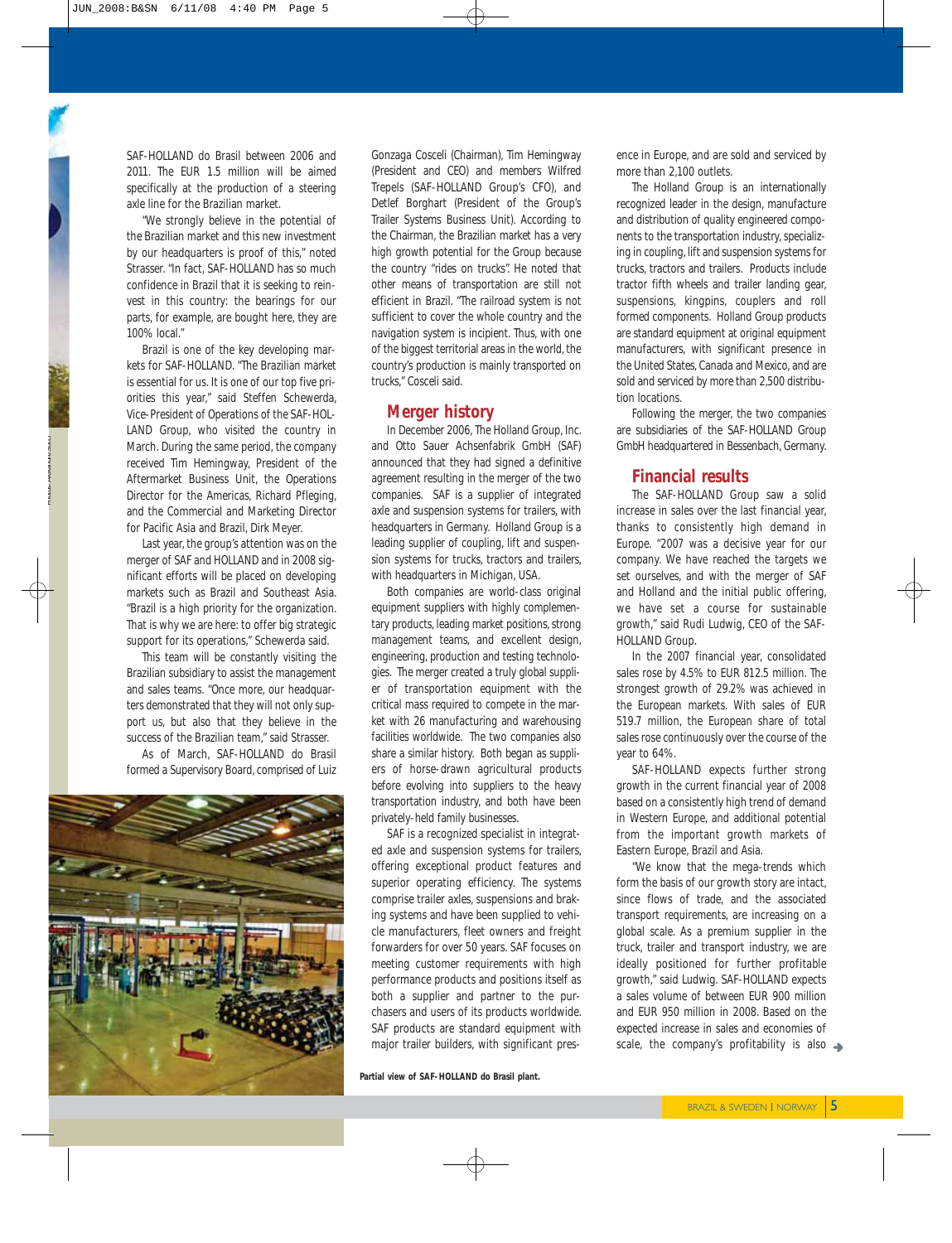SAF-HOLLAND do Brasil between 2006 and 2011. The EUR 1.5 million will be aimed specifically at the production of a steering axle line for the Brazilian market.

"We strongly believe in the potential of the Brazilian market and this new investment by our headquarters is proof of this," noted Strasser. "In fact, SAF-HOLLAND has so much confidence in Brazil that it is seeking to reinvest in this country: the bearings for our parts, for example, are bought here, they are 100% local."

Brazil is one of the key developing markets for SAF-HOLLAND. "The Brazilian market is essential for us. It is one of our top five priorities this year," said Steffen Schewerda, Vice-President of Operations of the SAF-HOL-LAND Group, who visited the country in March. During the same period, the company received Tim Hemingway, President of the Aftermarket Business Unit, the Operations Director for the Americas, Richard Pfleging, and the Commercial and Marketing Director for Pacific Asia and Brazil, Dirk Meyer.

Last year, the group's attention was on the merger of SAF and HOLLAND and in 2008 significant efforts will be placed on developing markets such as Brazil and Southeast Asia. "Brazil is a high priority for the organization. That is why we are here: to offer big strategic support for its operations," Schewerda said.

This team will be constantly visiting the Brazilian subsidiary to assist the management and sales teams. "Once more, our headquarters demonstrated that they will not only support us, but also that they believe in the success of the Brazilian team," said Strasser.

As of March, SAF-HOLLAND do Brasil formed a Supervisory Board, comprised of Luiz



Gonzaga Cosceli (Chairman), Tim Hemingway (President and CEO) and members Wilfred Trepels (SAF-HOLLAND Group's CFO), and Detlef Borghart (President of the Group's Trailer Systems Business Unit). According to the Chairman, the Brazilian market has a very high growth potential for the Group because the country "rides on trucks". He noted that other means of transportation are still not efficient in Brazil. "The railroad system is not sufficient to cover the whole country and the navigation system is incipient. Thus, with one of the biggest territorial areas in the world, the country's production is mainly transported on trucks," Cosceli said.

#### **Merger history**

In December 2006, The Holland Group, Inc. and Otto Sauer Achsenfabrik GmbH (SAF) announced that they had signed a definitive agreement resulting in the merger of the two companies. SAF is a supplier of integrated axle and suspension systems for trailers, with headquarters in Germany. Holland Group is a leading supplier of coupling, lift and suspension systems for trucks, tractors and trailers, with headquarters in Michigan, USA.

Both companies are world-class original equipment suppliers with highly complementary products, leading market positions, strong management teams, and excellent design, engineering, production and testing technologies. The merger created a truly global supplier of transportation equipment with the critical mass required to compete in the market with 26 manufacturing and warehousing facilities worldwide. The two companies also share a similar history. Both began as suppliers of horse-drawn agricultural products before evolving into suppliers to the heavy transportation industry, and both have been privately-held family businesses.

SAF is a recognized specialist in integrated axle and suspension systems for trailers, offering exceptional product features and superior operating efficiency. The systems comprise trailer axles, suspensions and braking systems and have been supplied to vehicle manufacturers, fleet owners and freight forwarders for over 50 years. SAF focuses on meeting customer requirements with high performance products and positions itself as both a supplier and partner to the purchasers and users of its products worldwide. SAF products are standard equipment with major trailer builders, with significant pres-

**Partial view of SAF-HOLLAND do Brasil plant.**

ence in Europe, and are sold and serviced by more than 2,100 outlets.

The Holland Group is an internationally recognized leader in the design, manufacture and distribution of quality engineered components to the transportation industry, specializing in coupling, lift and suspension systems for trucks, tractors and trailers. Products include tractor fifth wheels and trailer landing gear, suspensions, kingpins, couplers and roll formed components. Holland Group products are standard equipment at original equipment manufacturers, with significant presence in the United States, Canada and Mexico, and are sold and serviced by more than 2,500 distribution locations.

Following the merger, the two companies are subsidiaries of the SAF-HOLLAND Group GmbH headquartered in Bessenbach, Germany.

#### **Financial results**

The SAF-HOLLAND Group saw a solid increase in sales over the last financial year, thanks to consistently high demand in Europe. "2007 was a decisive year for our company. We have reached the targets we set ourselves, and with the merger of SAF and Holland and the initial public offering, we have set a course for sustainable growth," said Rudi Ludwig, CEO of the SAF-HOLLAND Group.

In the 2007 financial year, consolidated sales rose by 4.5% to EUR 812.5 million. The strongest growth of 29.2% was achieved in the European markets. With sales of EUR 519.7 million, the European share of total sales rose continuously over the course of the year to 64%.

SAF-HOLLAND expects further strong growth in the current financial year of 2008 based on a consistently high trend of demand in Western Europe, and additional potential from the important growth markets of Eastern Europe, Brazil and Asia.

"We know that the mega-trends which form the basis of our growth story are intact, since flows of trade, and the associated transport requirements, are increasing on a global scale. As a premium supplier in the truck, trailer and transport industry, we are ideally positioned for further profitable growth," said Ludwig. SAF-HOLLAND expects a sales volume of between EUR 900 million and EUR 950 million in 2008. Based on the expected increase in sales and economies of scale, the company's profitability is also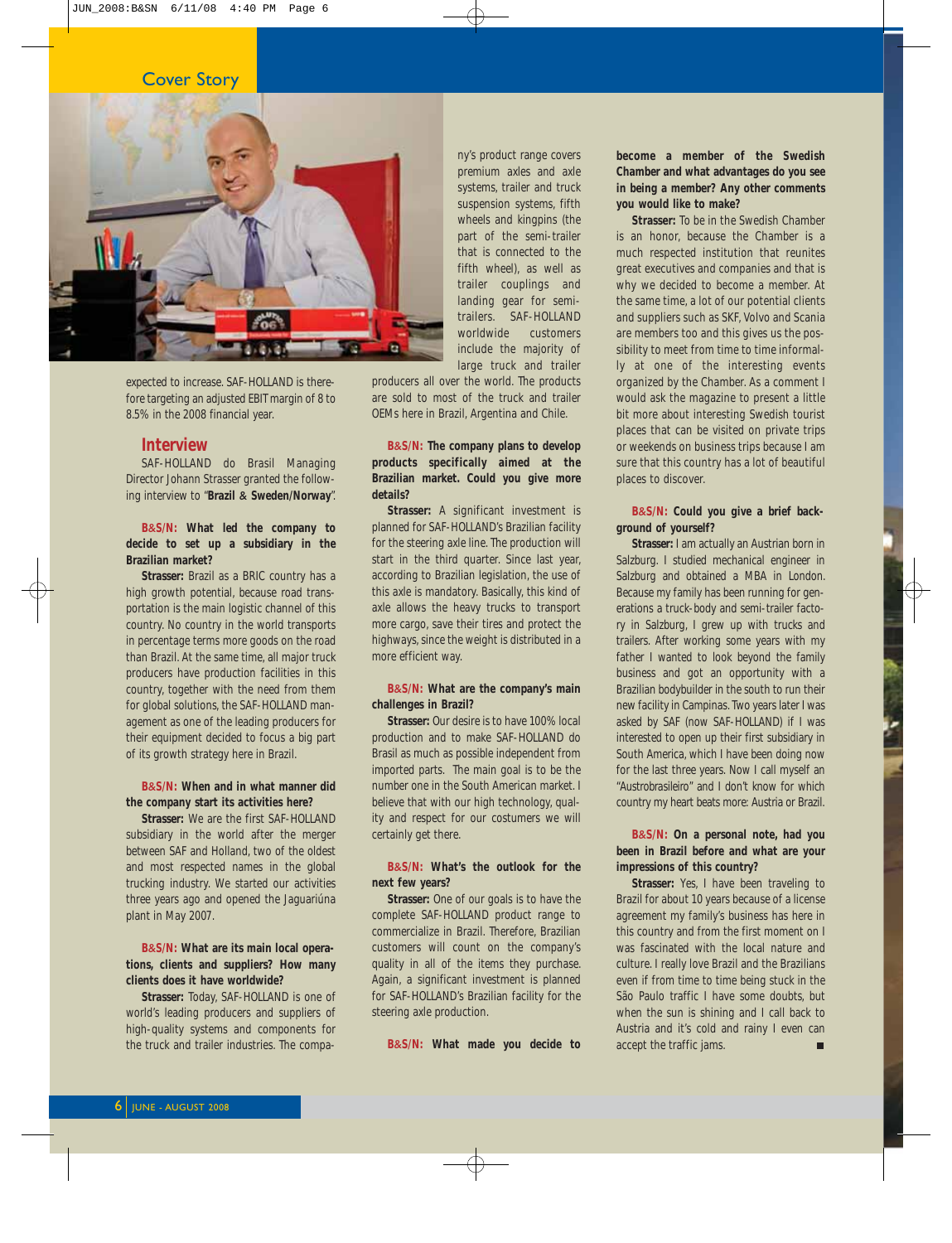#### Cover Story



expected to increase. SAF-HOLLAND is therefore targeting an adjusted EBIT margin of 8 to 8.5% in the 2008 financial year.

#### **Interview**

SAF-HOLLAND do Brasil Managing Director Johann Strasser granted the following interview to "**Brazil** & **Sweden/Norway**".

**B**&**S/N: What led the company to decide to set up a subsidiary in the Brazilian market?**

**Strasser:** Brazil as a BRIC country has a high growth potential, because road transportation is the main logistic channel of this country. No country in the world transports in percentage terms more goods on the road than Brazil. At the same time, all major truck producers have production facilities in this country, together with the need from them for global solutions, the SAF-HOLLAND management as one of the leading producers for their equipment decided to focus a big part of its growth strategy here in Brazil.

#### **B**&**S/N: When and in what manner did the company start its activities here?**

**Strasser:** We are the first SAF-HOLLAND subsidiary in the world after the merger between SAF and Holland, two of the oldest and most respected names in the global trucking industry. We started our activities three years ago and opened the Jaguariúna plant in May 2007.

#### **B**&**S/N: What are its main local operations, clients and suppliers? How many clients does it have worldwide?**

**Strasser:** Today, SAF-HOLLAND is one of world's leading producers and suppliers of high-quality systems and components for the truck and trailer industries. The company's product range covers premium axles and axle systems, trailer and truck suspension systems, fifth wheels and kingpins (the part of the semi-trailer that is connected to the fifth wheel), as well as trailer couplings and landing gear for semitrailers. SAF-HOLLAND worldwide customers include the majority of large truck and trailer

producers all over the world. The products are sold to most of the truck and trailer OEMs here in Brazil, Argentina and Chile.

#### **B**&**S/N: The company plans to develop products specifically aimed at the Brazilian market. Could you give more details?**

**Strasser:** A significant investment is planned for SAF-HOLLAND's Brazilian facility for the steering axle line. The production will start in the third quarter. Since last year, according to Brazilian legislation, the use of this axle is mandatory. Basically, this kind of axle allows the heavy trucks to transport more cargo, save their tires and protect the highways, since the weight is distributed in a more efficient way.

#### **B**&**S/N: What are the company's main challenges in Brazil?**

**Strasser:** Our desire is to have 100% local production and to make SAF-HOLLAND do Brasil as much as possible independent from imported parts. The main goal is to be the number one in the South American market. I believe that with our high technology, quality and respect for our costumers we will certainly get there.

#### **B**&**S/N: What's the outlook for the next few years?**

**Strasser:** One of our goals is to have the complete SAF-HOLLAND product range to commercialize in Brazil. Therefore, Brazilian customers will count on the company's quality in all of the items they purchase. Again, a significant investment is planned for SAF-HOLLAND's Brazilian facility for the steering axle production.

**B**&**S/N: What made you decide to**

**become a member of the Swedish Chamber and what advantages do you see in being a member? Any other comments you would like to make?**

**Strasser:** To be in the Swedish Chamber is an honor, because the Chamber is a much respected institution that reunites great executives and companies and that is why we decided to become a member. At the same time, a lot of our potential clients and suppliers such as SKF, Volvo and Scania are members too and this gives us the possibility to meet from time to time informally at one of the interesting events organized by the Chamber. As a comment I would ask the magazine to present a little bit more about interesting Swedish tourist places that can be visited on private trips or weekends on business trips because I am sure that this country has a lot of beautiful places to discover.

#### **B**&**S/N: Could you give a brief background of yourself?**

**Strasser:** I am actually an Austrian born in Salzburg. I studied mechanical engineer in Salzburg and obtained a MBA in London. Because my family has been running for generations a truck-body and semi-trailer factory in Salzburg, I grew up with trucks and trailers. After working some years with my father I wanted to look beyond the family business and got an opportunity with a Brazilian bodybuilder in the south to run their new facility in Campinas. Two years later I was asked by SAF (now SAF-HOLLAND) if I was interested to open up their first subsidiary in South America, which I have been doing now for the last three years. Now I call myself an "*Austrobrasileiro*" and I don't know for which country my heart beats more: Austria or Brazil.

#### **B**&**S/N: On a personal note, had you been in Brazil before and what are your impressions of this country?**

**Strasser:** Yes, I have been traveling to Brazil for about 10 years because of a license agreement my family's business has here in this country and from the first moment on I was fascinated with the local nature and culture. I really love Brazil and the Brazilians even if from time to time being stuck in the São Paulo traffic I have some doubts, but when the sun is shining and I call back to Austria and it's cold and rainy I even can accept the traffic jams.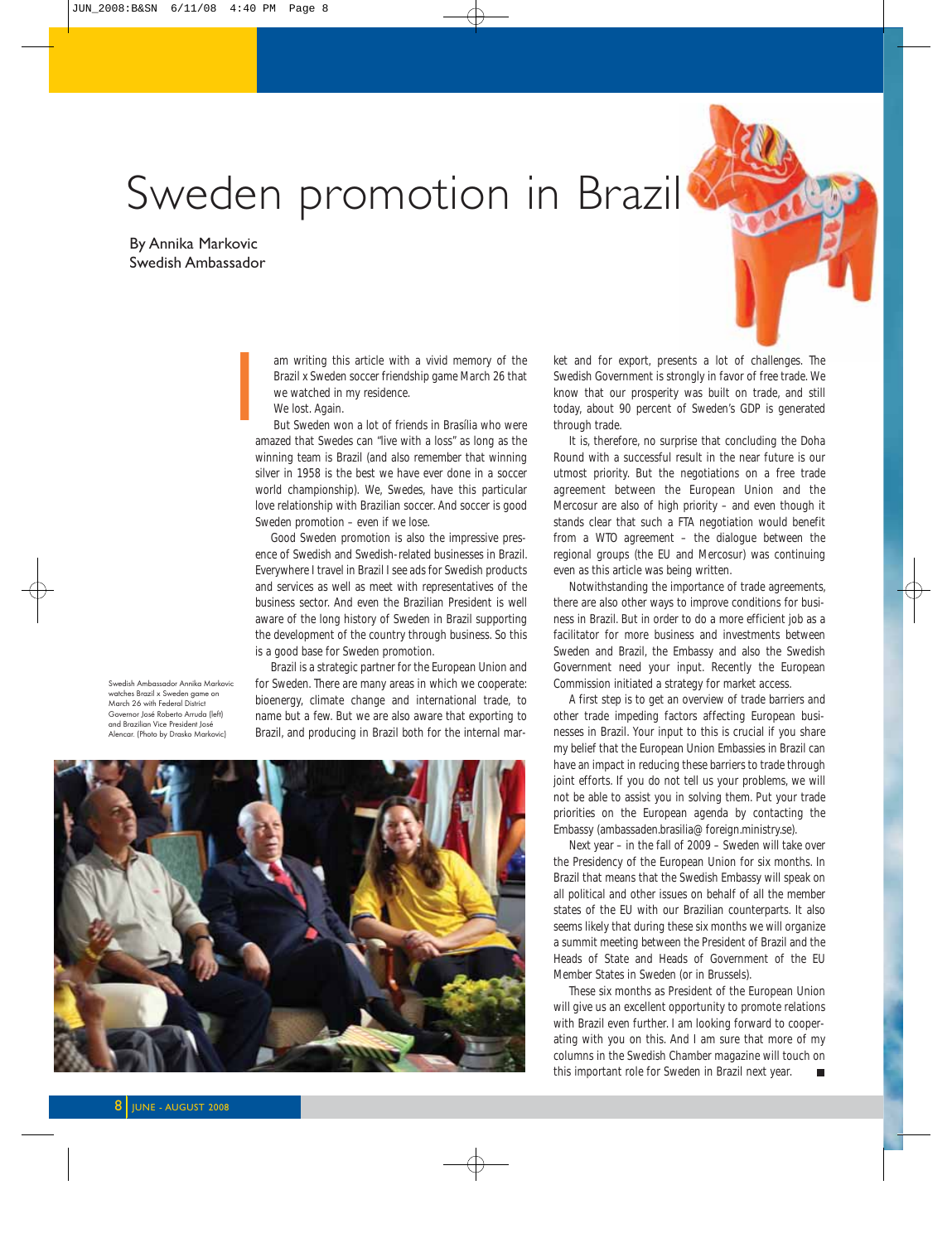## Sweden promotion in Brazil

By Annika Markovic Swedish Ambassador

> am writing this article with a vivid memory of the Brazil x Sweden soccer friendship game March 26 that we watched in my residence.

We lost. Again.

But Sweden won a lot of friends in Brasília who were amazed that Swedes can "live with a loss" as long as the winning team is Brazil (and also remember that winning silver in 1958 is the best we have ever done in a soccer world championship). We, Swedes, have this particular love relationship with Brazilian soccer. And soccer is good Sweden promotion – even if we lose.

Good Sweden promotion is also the impressive presence of Swedish and Swedish-related businesses in Brazil. Everywhere I travel in Brazil I see ads for Swedish products and services as well as meet with representatives of the business sector. And even the Brazilian President is well aware of the long history of Sweden in Brazil supporting the development of the country through business. So this is a good base for Sweden promotion.

Swedish Ambassador Annika Markovic watches Brazil x Sweden game on March 26 with Federal District Governor José Roberto Arruda (left) and Brazilian Vice President José Alencar. (Photo by Drasko Markovic)

Brazil is a strategic partner for the European Union and for Sweden. There are many areas in which we cooperate: bioenergy, climate change and international trade, to name but a few. But we are also aware that exporting to Brazil, and producing in Brazil both for the internal mar-



Im writing this article with a vivid memory of the the and for export, presents a lot of challenges. The Brazil x Sweden soccer friendship game March 26 that Swedish Government is strongly in favor of free trade. We we wat Swedish Government is strongly in favor of free trade. We know that our prosperity was built on trade, and still today, about 90 percent of Sweden's GDP is generated through trade.

It is, therefore, no surprise that concluding the Doha Round with a successful result in the near future is our utmost priority. But the negotiations on a free trade agreement between the European Union and the Mercosur are also of high priority – and even though it stands clear that such a FTA negotiation would benefit from a WTO agreement – the dialogue between the regional groups (the EU and Mercosur) was continuing even as this article was being written.

Notwithstanding the importance of trade agreements, there are also other ways to improve conditions for business in Brazil. But in order to do a more efficient job as a facilitator for more business and investments between Sweden and Brazil, the Embassy and also the Swedish Government need your input. Recently the European Commission initiated a strategy for market access.

A first step is to get an overview of trade barriers and other trade impeding factors affecting European businesses in Brazil. Your input to this is crucial if you share my belief that the European Union Embassies in Brazil can have an impact in reducing these barriers to trade through joint efforts. If you do not tell us your problems, we will not be able to assist you in solving them. Put your trade priorities on the European agenda by contacting the Embassy (ambassaden.brasilia@foreign.ministry.se).

Next year – in the fall of 2009 – Sweden will take over the Presidency of the European Union for six months. In Brazil that means that the Swedish Embassy will speak on all political and other issues on behalf of all the member states of the EU with our Brazilian counterparts. It also seems likely that during these six months we will organize a summit meeting between the President of Brazil and the Heads of State and Heads of Government of the EU Member States in Sweden (or in Brussels).

These six months as President of the European Union will give us an excellent opportunity to promote relations with Brazil even further. I am looking forward to cooperating with you on this. And I am sure that more of my columns in the Swedish Chamber magazine will touch on this important role for Sweden in Brazil next year.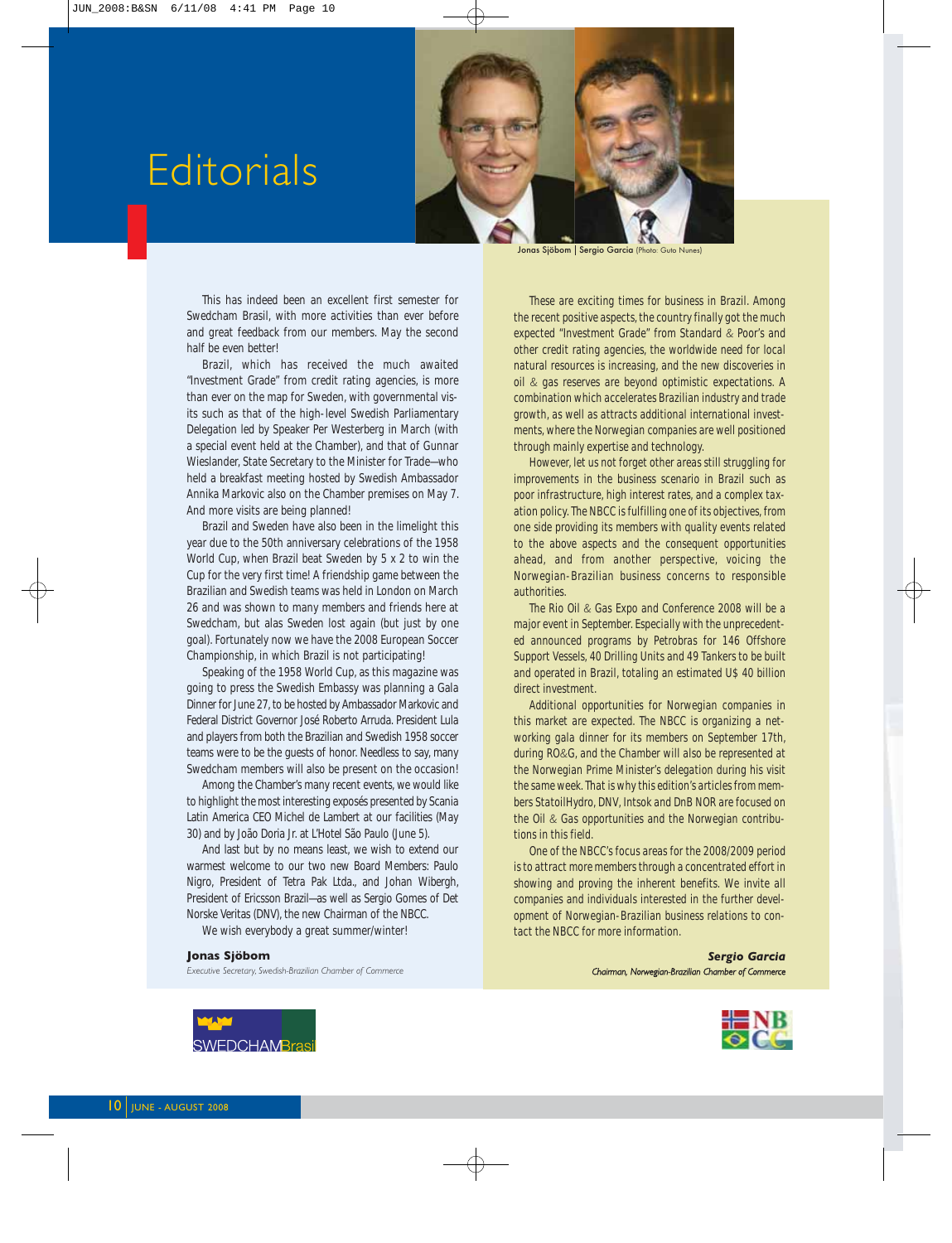## **Editorials**



Jonas Sjöbom | Sergio Garcia (Photo: Guto

This has indeed been an excellent first semester for Swedcham Brasil, with more activities than ever before and great feedback from our members. May the second half be even better!

Brazil, which has received the much awaited "Investment Grade" from credit rating agencies, is more than ever on the map for Sweden, with governmental visits such as that of the high-level Swedish Parliamentary Delegation led by Speaker Per Westerberg in March (with a special event held at the Chamber), and that of Gunnar Wieslander, State Secretary to the Minister for Trade—who held a breakfast meeting hosted by Swedish Ambassador Annika Markovic also on the Chamber premises on May 7. And more visits are being planned!

Brazil and Sweden have also been in the limelight this year due to the 50th anniversary celebrations of the 1958 World Cup, when Brazil beat Sweden by 5 x 2 to win the Cup for the very first time! A friendship game between the Brazilian and Swedish teams was held in London on March 26 and was shown to many members and friends here at Swedcham, but alas Sweden lost again (but just by one goal). Fortunately now we have the 2008 European Soccer Championship, in which Brazil is not participating!

Speaking of the 1958 World Cup, as this magazine was going to press the Swedish Embassy was planning a Gala Dinner for June 27, to be hosted by Ambassador Markovic and Federal District Governor José Roberto Arruda. President Lula and players from both the Brazilian and Swedish 1958 soccer teams were to be the guests of honor. Needless to say, many Swedcham members will also be present on the occasion!

Among the Chamber's many recent events, we would like to highlight the most interesting exposés presented by Scania Latin America CEO Michel de Lambert at our facilities (May 30) and by João Doria Jr. at L'Hotel São Paulo (June 5).

And last but by no means least, we wish to extend our warmest welcome to our two new Board Members: Paulo Nigro, President of Tetra Pak Ltda., and Johan Wibergh, President of Ericsson Brazil—as well as Sergio Gomes of Det Norske Veritas (DNV), the new Chairman of the NBCC.

We wish everybody a great summer/winter!

#### **Jonas Sjöbom**

*Executive Secretary, Swedish-Brazilian Chamber of Commerce*

*These are exciting times for business in Brazil. Among the recent positive aspects, the country finally got the much expected "Investment Grade" from Standard & Poor's and other credit rating agencies, the worldwide need for local natural resources is increasing, and the new discoveries in oil & gas reserves are beyond optimistic expectations. A combination which accelerates Brazilian industry and trade growth, as well as attracts additional international investments, where the Norwegian companies are well positioned through mainly expertise and technology.*

*However, let us not forget other areas still struggling for improvements in the business scenario in Brazil such as poor infrastructure, high interest rates, and a complex taxation policy. The NBCC is fulfilling one of its objectives, from one side providing its members with quality events related to the above aspects and the consequent opportunities ahead, and from another perspective, voicing the Norwegian-Brazilian business concerns to responsible authorities.*

*The Rio Oil & Gas Expo and Conference 2008 will be a major event in September. Especially with the unprecedented announced programs by Petrobras for 146 Offshore Support Vessels, 40 Drilling Units and 49 Tankers to be built and operated in Brazil, totaling an estimated U\$ 40 billion direct investment.*

*Additional opportunities for Norwegian companies in this market are expected. The NBCC is organizing a networking gala dinner for its members on September 17th, during RO&G, and the Chamber will also be represented at the Norwegian Prime Minister's delegation during his visit the same week. That is why this edition's articles from members StatoilHydro, DNV, Intsok and DnB NOR are focused on the Oil & Gas opportunities and the Norwegian contributions in this field.*

*One of the NBCC's focus areas for the 2008/2009 period is to attract more members through a concentrated effort in showing and proving the inherent benefits. We invite all companies and individuals interested in the further development of Norwegian-Brazilian business relations to contact the NBCC for more information.* 

*Sergio Garcia Chairman, Norwegian-Brazilian Chamber of Commerce*



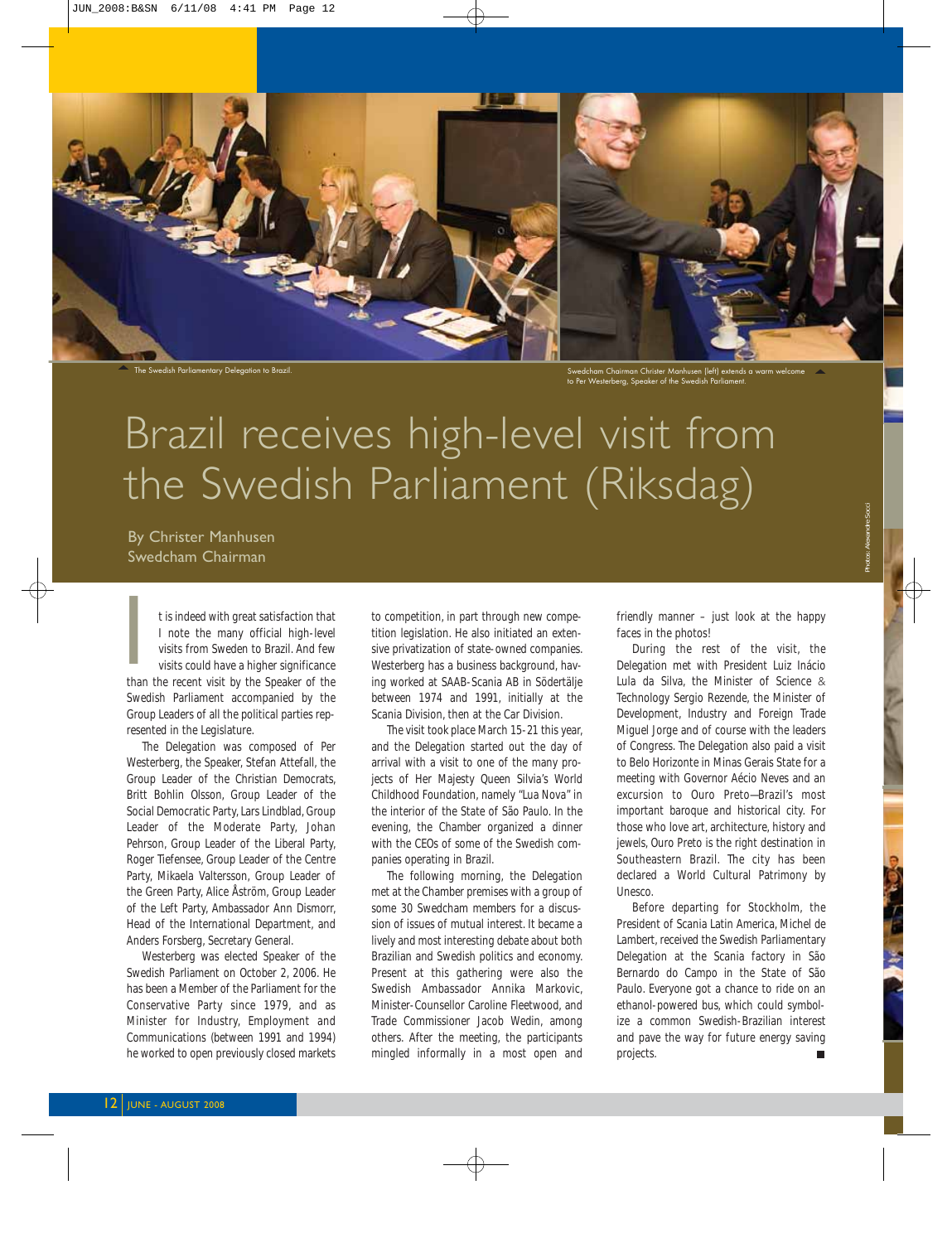

The Swedish Parliamentary Delegation to Brazil.

Swedcham Chairman Christer Manhusen (left) extends a warm welcome to Per Westerberg, Speaker of the Swedish Parliament.

## Brazil receives high-level visit from the Swedish Parliament (Riksdag)

By Christer Manhusen Swedcham Chairman

t is indeed with great satisfaction that I note the many official high-level visits from Sweden to Brazil. And few visits could have a higher significance t is indeed with great satisfaction that<br>
I note the many official high-level<br>
visits from Sweden to Brazil. And few<br>
visits could have a higher significance<br>
than the recent visit by the Speaker of the Swedish Parliament accompanied by the Group Leaders of all the political parties represented in the Legislature.

The Delegation was composed of Per Westerberg, the Speaker, Stefan Attefall, the Group Leader of the Christian Democrats, Britt Bohlin Olsson, Group Leader of the Social Democratic Party, Lars Lindblad, Group Leader of the Moderate Party, Johan Pehrson, Group Leader of the Liberal Party, Roger Tiefensee, Group Leader of the Centre Party, Mikaela Valtersson, Group Leader of the Green Party, Alice Åström, Group Leader of the Left Party, Ambassador Ann Dismorr, Head of the International Department, and Anders Forsberg, Secretary General.

Westerberg was elected Speaker of the Swedish Parliament on October 2, 2006. He has been a Member of the Parliament for the Conservative Party since 1979, and as Minister for Industry, Employment and Communications (between 1991 and 1994) he worked to open previously closed markets to competition, in part through new competition legislation. He also initiated an extensive privatization of state-owned companies. Westerberg has a business background, having worked at SAAB-Scania AB in Södertälje between 1974 and 1991, initially at the Scania Division, then at the Car Division.

The visit took place March 15-21 this year, and the Delegation started out the day of arrival with a visit to one of the many projects of Her Majesty Queen Silvia's World Childhood Foundation, namely "*Lua Nova*" in the interior of the State of São Paulo. In the evening, the Chamber organized a dinner with the CEOs of some of the Swedish companies operating in Brazil.

The following morning, the Delegation met at the Chamber premises with a group of some 30 Swedcham members for a discussion of issues of mutual interest. It became a lively and most interesting debate about both Brazilian and Swedish politics and economy. Present at this gathering were also the Swedish Ambassador Annika Markovic, Minister-Counsellor Caroline Fleetwood, and Trade Commissioner Jacob Wedin, among others. After the meeting, the participants mingled informally in a most open and friendly manner – just look at the happy faces in the photos!

During the rest of the visit, the Delegation met with President Luiz Inácio Lula da Silva, the Minister of Science & Technology Sergio Rezende, the Minister of Development, Industry and Foreign Trade Miguel Jorge and of course with the leaders of Congress. The Delegation also paid a visit to Belo Horizonte in Minas Gerais State for a meeting with Governor Aécio Neves and an excursion to Ouro Preto—Brazil's most important baroque and historical city. For those who love art, architecture, history and jewels, Ouro Preto is the right destination in Southeastern Brazil. The city has been declared a World Cultural Patrimony by Unesco.

Before departing for Stockholm, the President of Scania Latin America, Michel de Lambert, received the Swedish Parliamentary Delegation at the Scania factory in São Bernardo do Campo in the State of São Paulo. Everyone got a chance to ride on an ethanol-powered bus, which could symbolize a common Swedish-Brazilian interest and pave the way for future energy saving projects.  $\blacksquare$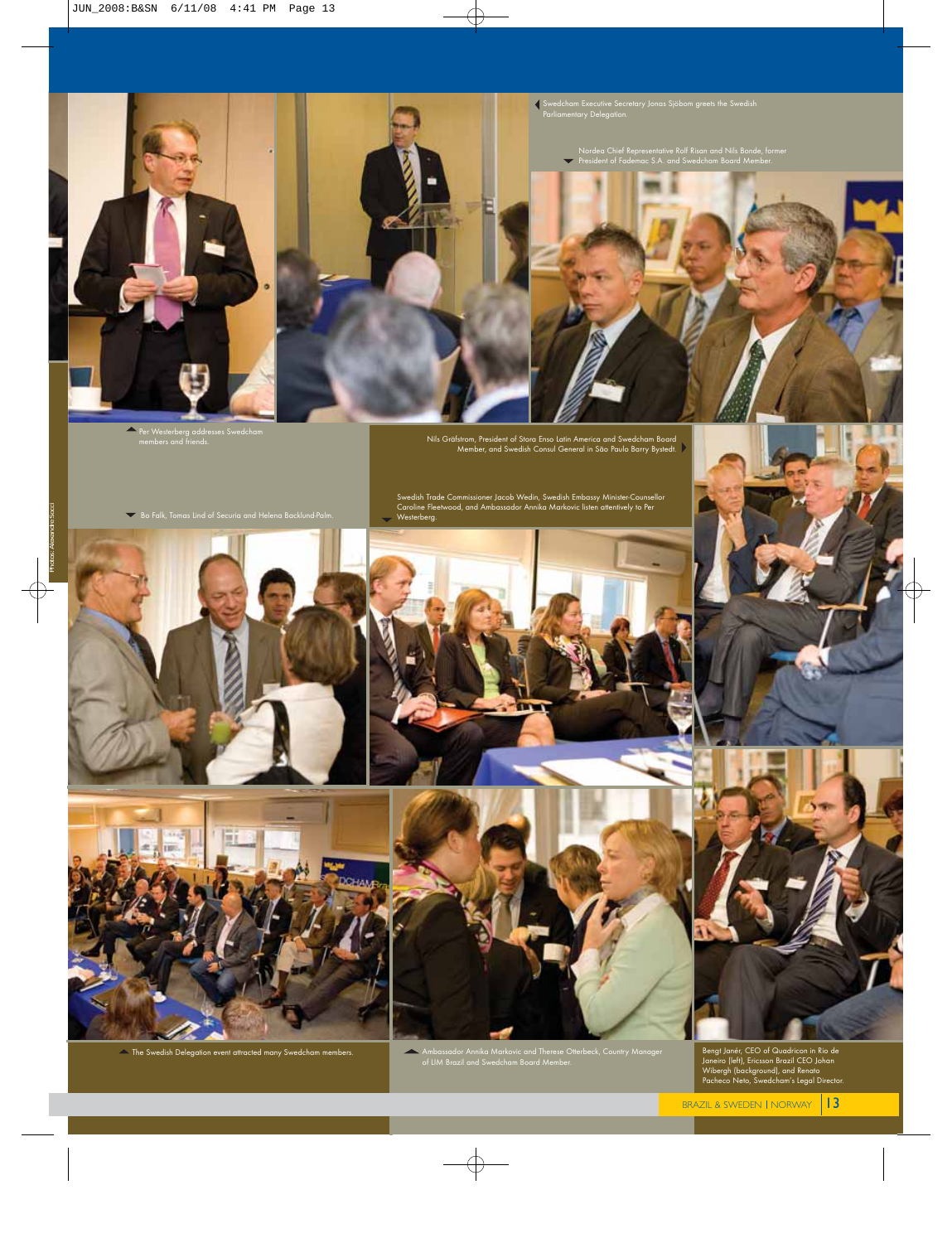



Swedcham Executive Secretary Jonas Sjöbom greets the Swedish Parliamentary Delegation.

Nordea Chief Representative Rolf Risan and Nils Bonde, former President of Fademac S.A. and Swedcham Board Member.



 $\blacktriangle$ Per Westerberg addresses Swedcham members and friends.

Nils Gräfstrom, President of Stora Enso Latin America and Swedcham Board Member, and Swedish Consul General in São Paulo Barry Bystedt.

 $\blacktriangleright$  Bo Falk, Tomas Lind of Securia and Helena Backlund-Palm.







 $\blacktriangle$  The Swedish Delegation event attracted many Swedcham members.

Ambassador Annika Markovic and Therese Otterbeck, Country Manager of LIM Brazil and Swedcham Board Member.





Bengt Janér, CEO of Quadricon in Rio de Janeiro (left), Ericsson Brazil CEO Johan Wibergh (background), and Renato Pacheco Neto, Swedcham's Legal Director.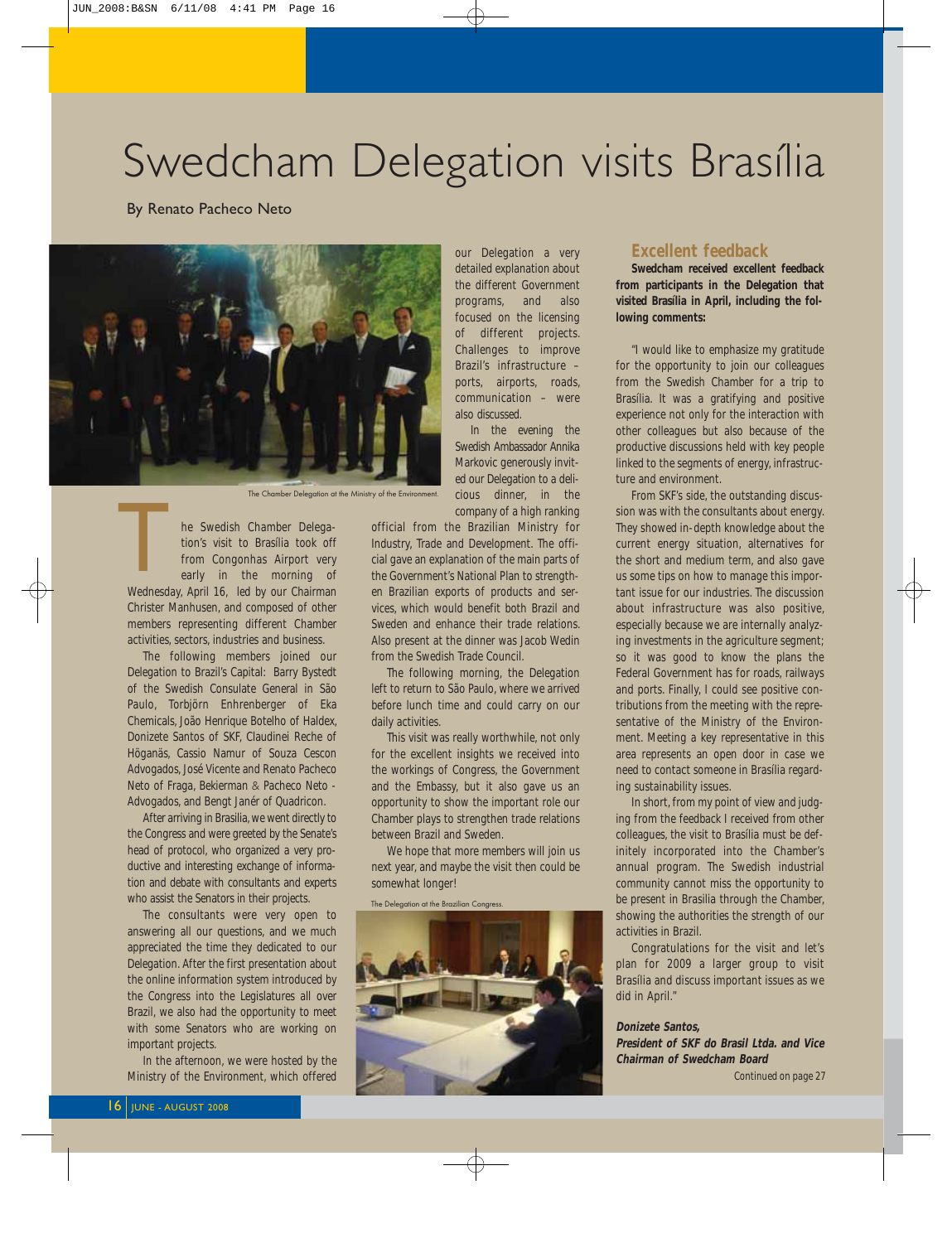## Swedcham Delegation visits Brasília

By Renato Pacheco Neto



The Chamber Delegation at the Ministry of the Environment.

he Swedish Chamber Delegation's visit to Brasília took off from Congonhas Airport very early in the morning of Wednesday, April 16, led by our Chairman Christer Manhusen, and composed of other members representing different Chamber activities, sectors, industries and business. Mednesd

The following members joined our Delegation to Brazil's Capital: Barry Bystedt of the Swedish Consulate General in São Paulo, Torbjörn Enhrenberger of Eka Chemicals, João Henrique Botelho of Haldex, Donizete Santos of SKF, Claudinei Reche of Höganäs, Cassio Namur of Souza Cescon Advogados, José Vicente and Renato Pacheco Neto of Fraga, Bekierman & Pacheco Neto - Advogados, and Bengt Janér of Quadricon.

After arriving in Brasilia, we went directly to the Congress and were greeted by the Senate's head of protocol, who organized a very productive and interesting exchange of information and debate with consultants and experts who assist the Senators in their projects.

The consultants were very open to answering all our questions, and we much appreciated the time they dedicated to our Delegation. After the first presentation about the online information system introduced by the Congress into the Legislatures all over Brazil, we also had the opportunity to meet with some Senators who are working on important projects.

In the afternoon, we were hosted by the Ministry of the Environment, which offered our Delegation a very detailed explanation about the different Government programs, and also focused on the licensing of different projects. Challenges to improve Brazil's infrastructure – ports, airports, roads, communication – were also discussed.

In the evening the Swedish Ambassador Annika Markovic generously invited our Delegation to a delicious dinner, in the company of a high ranking

official from the Brazilian Ministry for Industry, Trade and Development. The official gave an explanation of the main parts of the Government's National Plan to strengthen Brazilian exports of products and services, which would benefit both Brazil and Sweden and enhance their trade relations. Also present at the dinner was Jacob Wedin from the Swedish Trade Council.

The following morning, the Delegation left to return to São Paulo, where we arrived before lunch time and could carry on our daily activities.

This visit was really worthwhile, not only for the excellent insights we received into the workings of Congress, the Government and the Embassy, but it also gave us an opportunity to show the important role our Chamber plays to strengthen trade relations between Brazil and Sweden.

We hope that more members will join us next year, and maybe the visit then could be somewhat longer!

The Delegation at the Brazilian Congress.



#### **Excellent feedback**

**Swedcham received excellent feedback from participants in the Delegation that visited Brasília in April, including the following comments:**

"I would like to emphasize my gratitude for the opportunity to join our colleagues from the Swedish Chamber for a trip to Brasília. It was a gratifying and positive experience not only for the interaction with other colleagues but also because of the productive discussions held with key people linked to the segments of energy, infrastructure and environment.

From SKF's side, the outstanding discussion was with the consultants about energy. They showed in-depth knowledge about the current energy situation, alternatives for the short and medium term, and also gave us some tips on how to manage this important issue for our industries. The discussion about infrastructure was also positive, especially because we are internally analyzing investments in the agriculture segment; so it was good to know the plans the Federal Government has for roads, railways and ports. Finally, I could see positive contributions from the meeting with the representative of the Ministry of the Environment. Meeting a key representative in this area represents an open door in case we need to contact someone in Brasília regarding sustainability issues.

In short, from my point of view and judging from the feedback I received from other colleagues, the visit to Brasília must be definitely incorporated into the Chamber's annual program. The Swedish industrial community cannot miss the opportunity to be present in Brasilia through the Chamber, showing the authorities the strength of our activities in Brazil.

Congratulations for the visit and let's plan for 2009 a larger group to visit Brasília and discuss important issues as we did in April."

**Donizete Santos, President of SKF do Brasil Ltda. and Vice Chairman of Swedcham Board**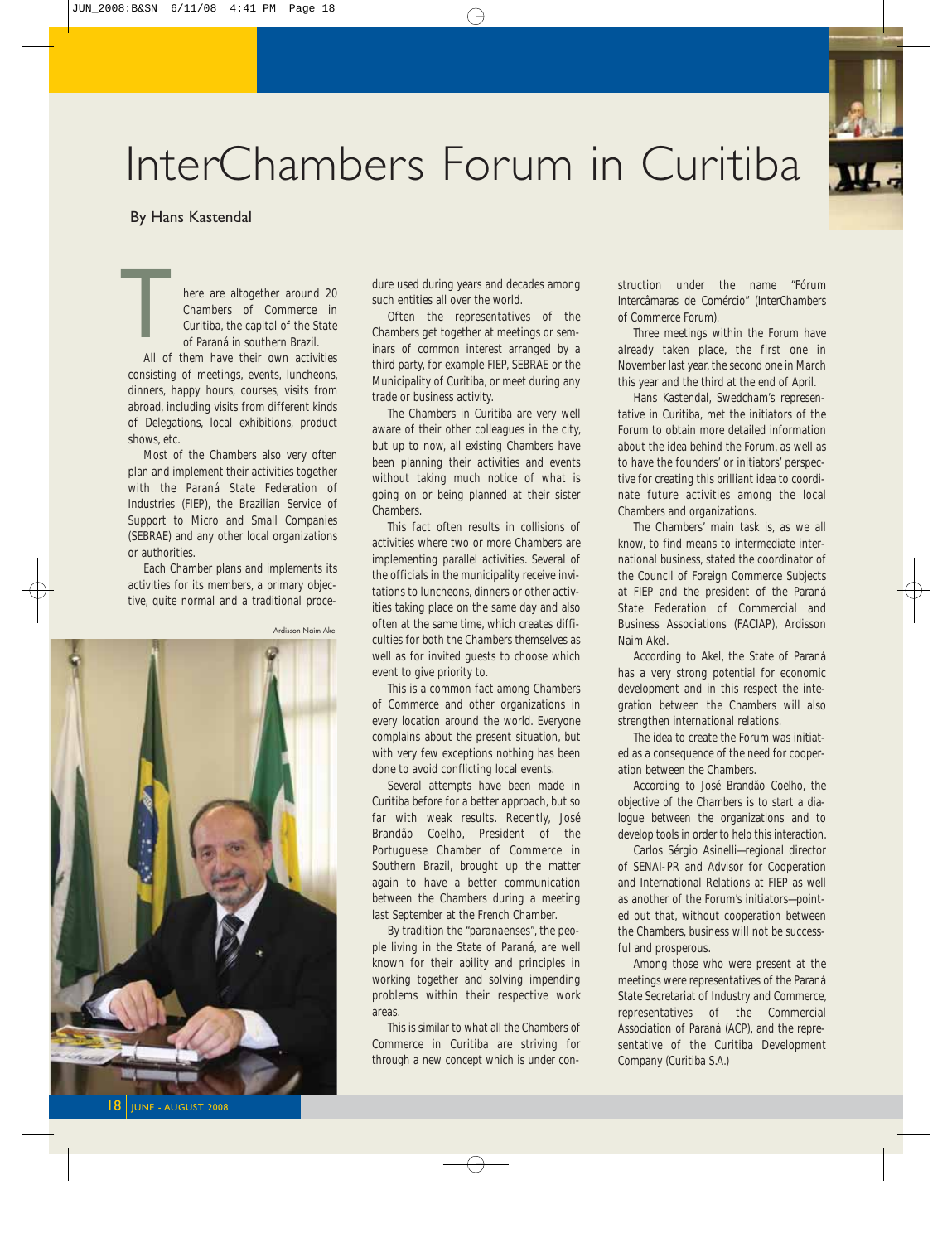

## InterChambers Forum in Curitiba

#### By Hans Kastendal

here are altogether around 20 Chambers of Commerce in Curitiba, the capital of the State of Paraná in southern Brazil. All of them have their own activities consisting of meetings, events, luncheons, dinners, happy hours, courses, visits from  $\frac{1}{\sqrt{1+\frac{1}{2}}\sqrt{1+\frac{1}{2}}\sqrt{1+\frac{1}{2}}\sqrt{1+\frac{1}{2}}\sqrt{1+\frac{1}{2}}\sqrt{1+\frac{1}{2}}\sqrt{1+\frac{1}{2}}\sqrt{1+\frac{1}{2}}\sqrt{1+\frac{1}{2}}\sqrt{1+\frac{1}{2}}\sqrt{1+\frac{1}{2}}\sqrt{1+\frac{1}{2}}\sqrt{1+\frac{1}{2}}\sqrt{1+\frac{1}{2}}\sqrt{1+\frac{1}{2}}\sqrt{1+\frac{1}{2}}\sqrt{1+\frac{1}{2}}\sqrt{1+\frac{1}{2}}\sqrt{1+\frac{1}{2}}\sqrt{1+\frac$ 

abroad, including visits from different kinds of Delegations, local exhibitions, product shows, etc.

Most of the Chambers also very often plan and implement their activities together with the Paraná State Federation of Industries (FIEP), the Brazilian Service of Support to Micro and Small Companies (SEBRAE) and any other local organizations or authorities.

Each Chamber plans and implements its activities for its members, a primary objective, quite normal and a traditional proce-



dure used during years and decades among such entities all over the world.

Often the representatives of the Chambers get together at meetings or seminars of common interest arranged by a third party, for example FIEP, SEBRAE or the Municipality of Curitiba, or meet during any trade or business activity.

The Chambers in Curitiba are very well aware of their other colleagues in the city, but up to now, all existing Chambers have been planning their activities and events without taking much notice of what is going on or being planned at their sister Chambers.

This fact often results in collisions of activities where two or more Chambers are implementing parallel activities. Several of the officials in the municipality receive invitations to luncheons, dinners or other activities taking place on the same day and also often at the same time, which creates difficulties for both the Chambers themselves as well as for invited guests to choose which event to give priority to.

This is a common fact among Chambers of Commerce and other organizations in every location around the world. Everyone complains about the present situation, but with very few exceptions nothing has been done to avoid conflicting local events.

Several attempts have been made in Curitiba before for a better approach, but so far with weak results. Recently, José Brandão Coelho, President of the Portuguese Chamber of Commerce in Southern Brazil, brought up the matter again to have a better communication between the Chambers during a meeting last September at the French Chamber.

By tradition the "*paranaenses*", the people living in the State of Paraná, are well known for their ability and principles in working together and solving impending problems within their respective work areas.

This is similar to what all the Chambers of Commerce in Curitiba are striving for through a new concept which is under construction under the name "Fórum Intercâmaras de Comércio" (InterChambers of Commerce Forum).

Three meetings within the Forum have already taken place, the first one in November last year, the second one in March this year and the third at the end of April.

Hans Kastendal, Swedcham's representative in Curitiba, met the initiators of the Forum to obtain more detailed information about the idea behind the Forum, as well as to have the founders' or initiators' perspective for creating this brilliant idea to coordinate future activities among the local Chambers and organizations.

The Chambers' main task is, as we all know, to find means to intermediate international business, stated the coordinator of the Council of Foreign Commerce Subjects at FIEP and the president of the Paraná State Federation of Commercial and Business Associations (FACIAP), Ardisson Naim Akel.

According to Akel, the State of Paraná has a very strong potential for economic development and in this respect the integration between the Chambers will also strengthen international relations.

The idea to create the Forum was initiated as a consequence of the need for cooperation between the Chambers.

According to José Brandão Coelho, the objective of the Chambers is to start a dialogue between the organizations and to develop tools in order to help this interaction.

Carlos Sérgio Asinelli—regional director of SENAI-PR and Advisor for Cooperation and International Relations at FIEP as well as another of the Forum's initiators—pointed out that, without cooperation between the Chambers, business will not be successful and prosperous.

Among those who were present at the meetings were representatives of the Paraná State Secretariat of Industry and Commerce, representatives of the Commercial Association of Paraná (ACP), and the representative of the Curitiba Development Company (Curitiba S.A.)

18 JUNE - AUGUST 2008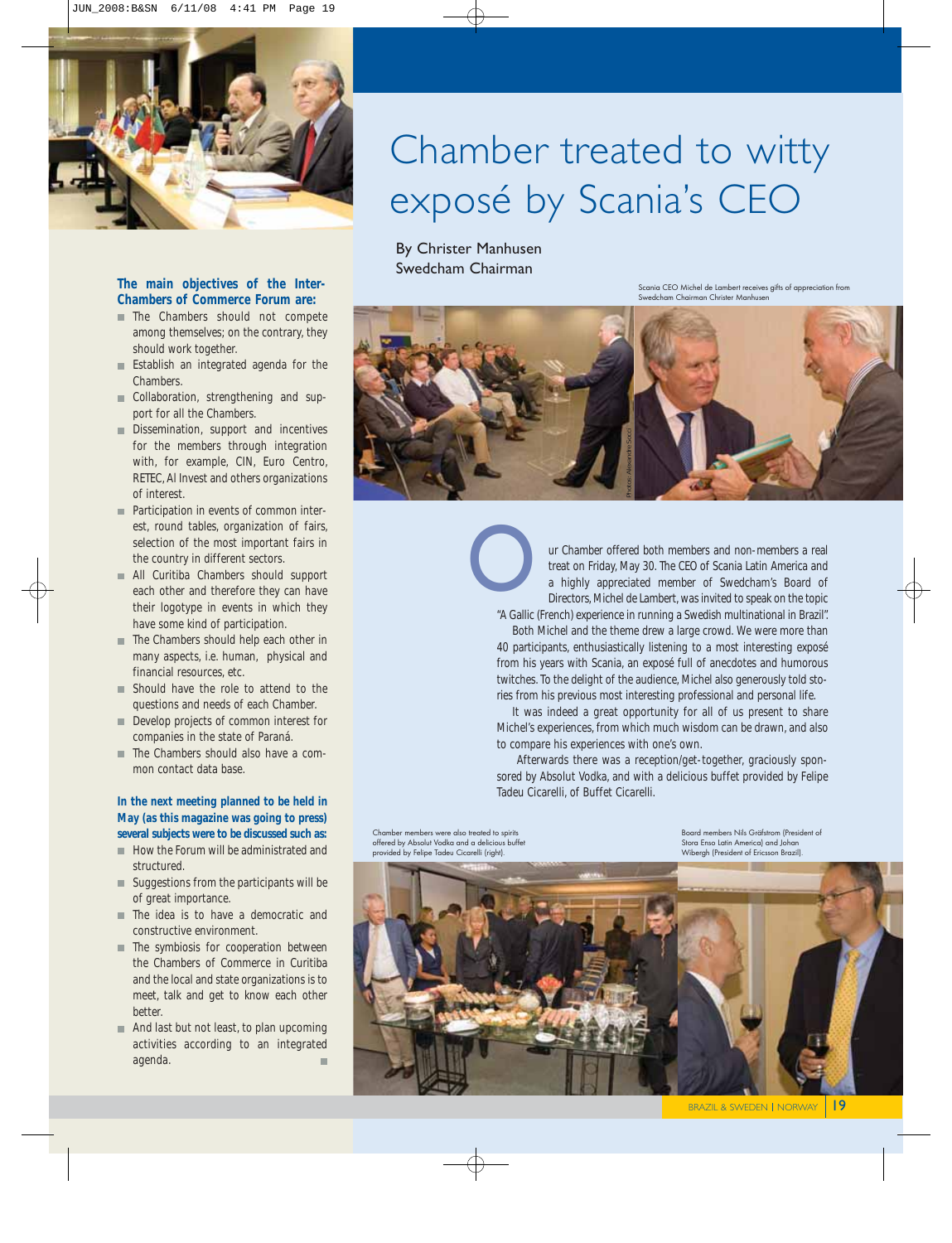

#### **The main objectives of the Inter-Chambers of Commerce Forum are:**

- The Chambers should not compete among themselves; on the contrary, they should work together.
- **Establish an integrated agenda for the** Chambers.
- Collaboration, strengthening and support for all the Chambers.
- Dissemination, support and incentives for the members through integration with, for example, CIN, Euro Centro, RETEC, Al Invest and others organizations of interest.
- **Participation in events of common inter**est, round tables, organization of fairs, selection of the most important fairs in the country in different sectors.
- All Curitiba Chambers should support each other and therefore they can have their logotype in events in which they have some kind of participation.
- The Chambers should help each other in many aspects, i.e. human, physical and financial resources, etc.
- Should have the role to attend to the questions and needs of each Chamber.
- Develop projects of common interest for companies in the state of Paraná.
- The Chambers should also have a common contact data base.

#### **In the next meeting planned to be held in May (as this magazine was going to press) several subjects were to be discussed such as:**

- How the Forum will be administrated and structured.
- $\blacksquare$  Suggestions from the participants will be of great importance.
- The idea is to have a democratic and constructive environment.
- **The symbiosis for cooperation between** the Chambers of Commerce in Curitiba and the local and state organizations is to meet, talk and get to know each other better.
- And last but not least, to plan upcoming activities according to an integrated agenda. ×.

## Chamber treated to witty exposé by Scania's CEO

By Christer Manhusen Swedcham Chairman

O

Scania CEO Michel de Lambert receives gifts of appreciation from Swedcham Chairman Christer Manhusen



ur Chamber offered both members and non-members a real treat on Friday, May 30. The CEO of Scania Latin America and a highly appreciated member of Swedcham's Board of Directors, Michel de Lambert, was invited to speak on the topic "A Gallic (French) experience in running a Swedish multinational in Brazil".

Both Michel and the theme drew a large crowd. We were more than 40 participants, enthusiastically listening to a most interesting exposé from his years with Scania, an exposé full of anecdotes and humorous twitches. To the delight of the audience, Michel also generously told stories from his previous most interesting professional and personal life.

It was indeed a great opportunity for all of us present to share Michel's experiences, from which much wisdom can be drawn, and also to compare his experiences with one's own.

Afterwards there was a reception/get-together, graciously sponsored by Absolut Vodka, and with a delicious buffet provided by Felipe Tadeu Cicarelli, of Buffet Cicarelli.

Chamber members were also treated to spirits offered by Absolut Vodka and a delicious buffet provided by Felipe Tadeu Cicarelli (right).

Board members Nils Gräfstrom (President of Stora Enso Latin America) and Johan Wibergh (President of Ericsson Brazil).



BRAZIL & SWEDEN | NORWAY | 19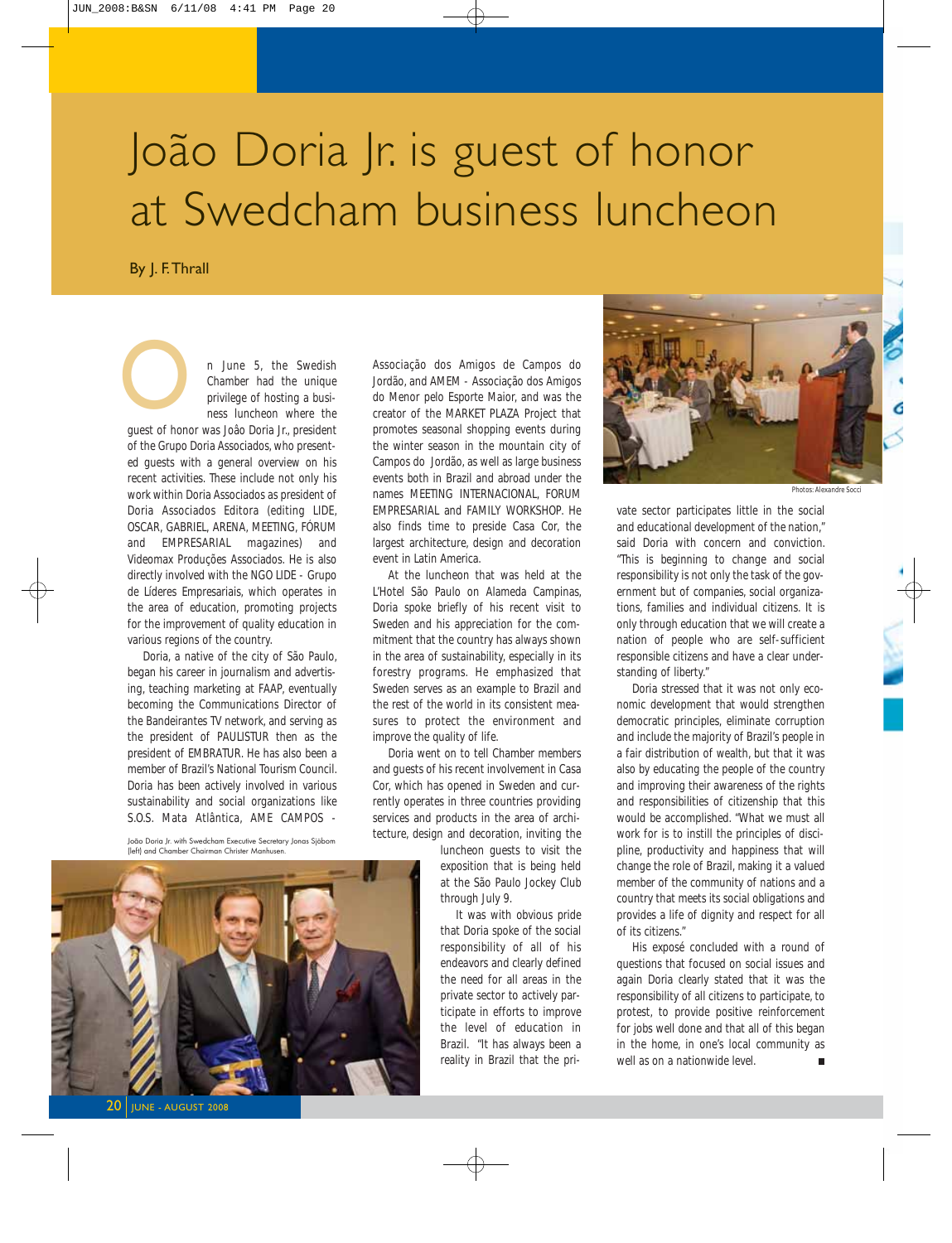# João Doria Jr. is guest of honor at Swedcham business luncheon

By J. F. Thrall

n June 5, the Swedish Chamber had the unique privilege of hosting a business luncheon where the

guest of honor was Joâo Doria Jr., president of the Grupo Doria Associados, who presented guests with a general overview on his recent activities. These include not only his work within Doria Associados as president of Doria Associados Editora (editing LIDE, OSCAR, GABRIEL, ARENA, MEETING, FÓRUM and EMPRESARIAL magazines) and Videomax Produções Associados. He is also directly involved with the NGO LIDE - Grupo de Líderes Empresariais, which operates in the area of education, promoting projects for the improvement of quality education in various regions of the country. Outest of home

Doria, a native of the city of São Paulo, began his career in journalism and advertising, teaching marketing at FAAP, eventually becoming the Communications Director of the Bandeirantes TV network, and serving as the president of PAULISTUR then as the president of EMBRATUR. He has also been a member of Brazil's National Tourism Council. Doria has been actively involved in various sustainability and social organizations like S.O.S. Mata Atlântica, AME CAMPOS -

João Doria Jr. with Swedcham Executive Secretary Jonas Sjöbom (left) and Chamber Chairman Christer Manhusen.



Associação dos Amigos de Campos do Jordão, and AMEM - Associação dos Amigos do Menor pelo Esporte Maior, and was the creator of the MARKET PLAZA Project that promotes seasonal shopping events during the winter season in the mountain city of Campos do Jordão, as well as large business events both in Brazil and abroad under the names MEETING INTERNACIONAL, FORUM EMPRESARIAL and FAMILY WORKSHOP. He also finds time to preside Casa Cor, the largest architecture, design and decoration event in Latin America.

At the luncheon that was held at the L'Hotel São Paulo on Alameda Campinas, Doria spoke briefly of his recent visit to Sweden and his appreciation for the commitment that the country has always shown in the area of sustainability, especially in its forestry programs. He emphasized that Sweden serves as an example to Brazil and the rest of the world in its consistent measures to protect the environment and improve the quality of life.

Doria went on to tell Chamber members and guests of his recent involvement in Casa Cor, which has opened in Sweden and currently operates in three countries providing services and products in the area of architecture, design and decoration, inviting the

> luncheon guests to visit the exposition that is being held at the São Paulo Jockey Club through July 9.

It was with obvious pride that Doria spoke of the social responsibility of all of his endeavors and clearly defined the need for all areas in the private sector to actively participate in efforts to improve the level of education in Brazil. "It has always been a reality in Brazil that the pri-



*Photos: Alexandre Socci*

vate sector participates little in the social and educational development of the nation," said Doria with concern and conviction. "This is beginning to change and social responsibility is not only the task of the government but of companies, social organizations, families and individual citizens. It is only through education that we will create a nation of people who are self-sufficient responsible citizens and have a clear understanding of liberty."

Doria stressed that it was not only economic development that would strengthen democratic principles, eliminate corruption and include the majority of Brazil's people in a fair distribution of wealth, but that it was also by educating the people of the country and improving their awareness of the rights and responsibilities of citizenship that this would be accomplished. "What we must all work for is to instill the principles of discipline, productivity and happiness that will change the role of Brazil, making it a valued member of the community of nations and a country that meets its social obligations and provides a life of dignity and respect for all of its citizens."

His exposé concluded with a round of questions that focused on social issues and again Doria clearly stated that it was the responsibility of all citizens to participate, to protest, to provide positive reinforcement for jobs well done and that all of this began in the home, in one's local community as well as on a nationwide level.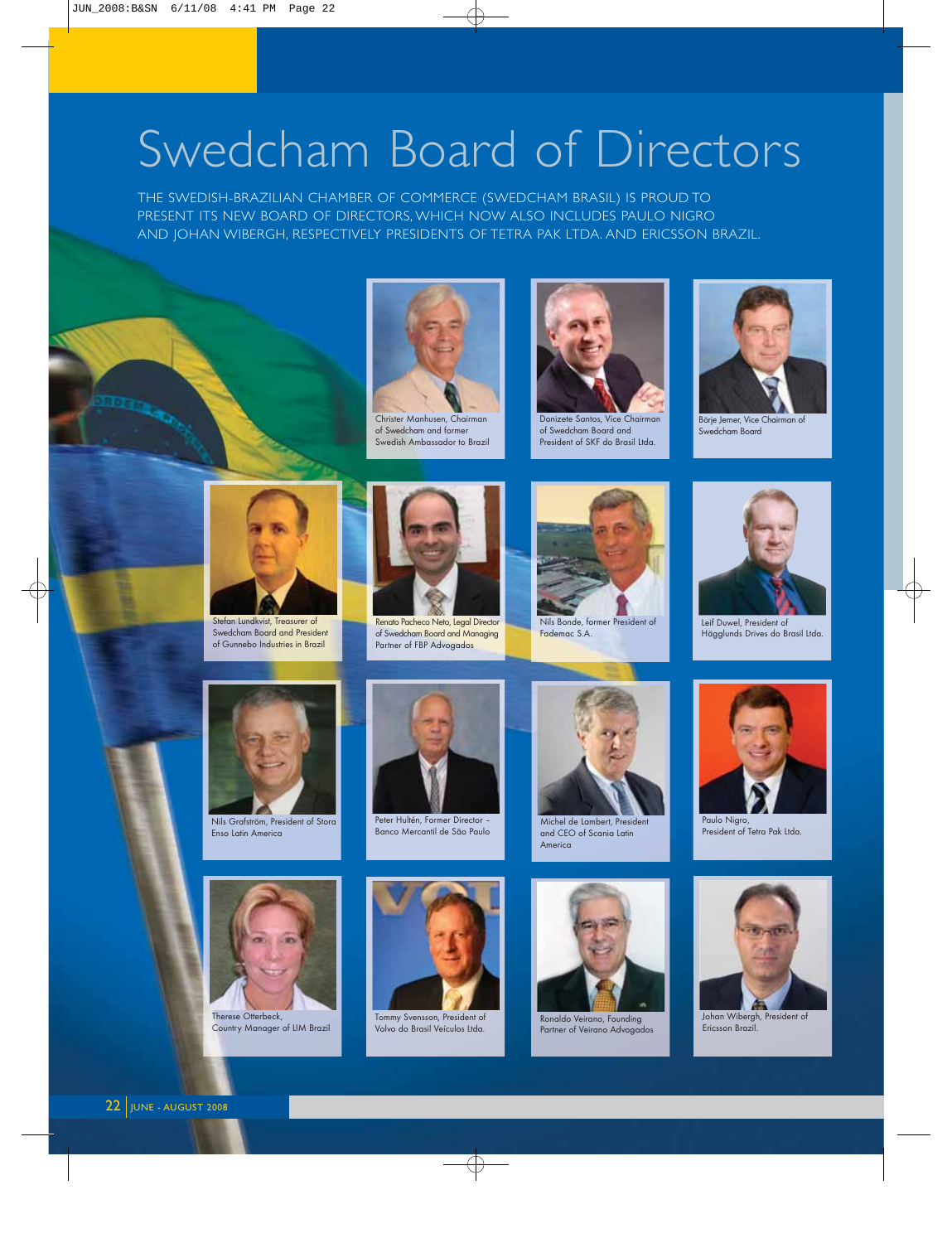# Swedcham Board of Directors

THE SWEDISH-BRAZILIAN CHAMBER OF COMMERCE (SWEDCHAM BRASIL) IS PROUD TO PRESENT ITS NEW BOARD OF DIRECTORS, WHICH NOW ALSO INCLUDES PAULO NIGRO AND JOHAN WIBERGH, RESPECTIVELY PRESIDENTS OF TETRA PAK LTDA. AND ERICSSON BRAZIL.



of Swedcham and former Swedish Ambassador to Brazil



Donizete Santos, Vice Chairman of Swedcham Board and President of SKF do Brasil Ltda.



Börje Jerner, Vice Chairman of Swedcham Board



Stefan Lundkvist, Treasurer of Swedcham Board and President of Gunnebo Industries in Brazil



Renato Pacheco Neto, Legal Director of Swedcham Board and Managing Partner of FBP Advogados



Nils Bonde, former President of Fademac S.A.



Leif Duwel, President of Hägglunds Drives do Brasil Ltda.



Nils Grafström, President of Stora Enso Latin America



Peter Hultén, Former Director – Banco Mercantil de São Paulo



Michel de Lambert, President and CEO of Scania Latin America



Paulo Nigro, President of Tetra Pak Ltda.



Country Manager of LIM Brazil



Tommy Svensson, President of Volvo do Brasil Veículos Ltda.



Ronaldo Veirano, Founding Partner of Veirano Advogados



Johan Wibergh, President of Ericsson Brazil.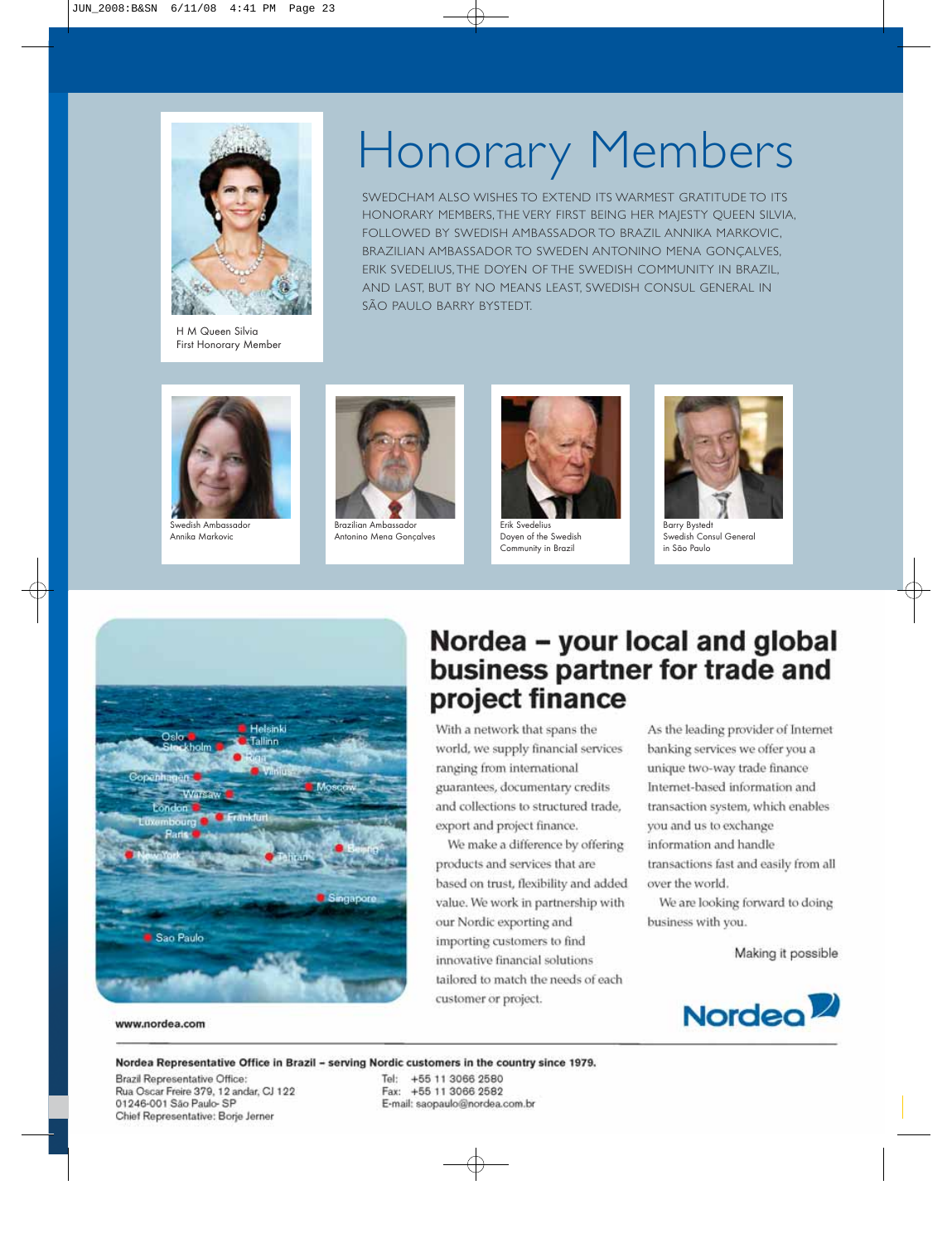

H M Queen Silvia First Honorary Member

# Honorary Members

SWEDCHAM ALSO WISHES TO EXTEND ITS WARMEST GRATITUDE TO ITS HONORARY MEMBERS, THE VERY FIRST BEING HER MAJESTY QUEEN SILVIA, FOLLOWED BY SWEDISH AMBASSADOR TO BRAZIL ANNIKA MARKOVIC, BRAZILIAN AMBASSADOR TO SWEDEN ANTONINO MENA GONÇALVES, ERIK SVEDELIUS, THE DOYEN OF THE SWEDISH COMMUNITY IN BRAZIL, AND LAST, BUT BY NO MEANS LEAST, SWEDISH CONSUL GENERAL IN SÃO PAULO BARRY BYSTEDT.



Swedish Ambassador Annika Markovic



Brazilian Ambassador Antonino Mena Gonçalves



Doyen of the Swedish Community in Brazil



Barry Bystedt Swedish Consul General in São Paulo



www.nordea.com

## Nordea - your local and global business partner for trade and project finance

With a network that spans the world, we supply financial services ranging from international guarantees, documentary credits and collections to structured trade, export and project finance.

We make a difference by offering products and services that are based on trust, flexibility and added value. We work in partnership with our Nordic exporting and importing customers to find innovative financial solutions tailored to match the needs of each customer or project.

As the leading provider of Internet banking services we offer you a unique two-way trade finance Internet-based information and transaction system, which enables you and us to exchange information and handle transactions fast and easily from all over the world.

We are looking forward to doing business with you.

Making it possible



#### Nordea Representative Office in Brazil - serving Nordic customers in the country since 1979.

Brazil Representative Office: Rua Oscar Freire 379, 12 andar, CJ 122 01246-001 São Paulo-SP Chief Representative: Borje Jerner

Tel: +55 11 3066 2580 Fax: +55 11 3066 2582 E-mail: saopaulo@nordea.com.br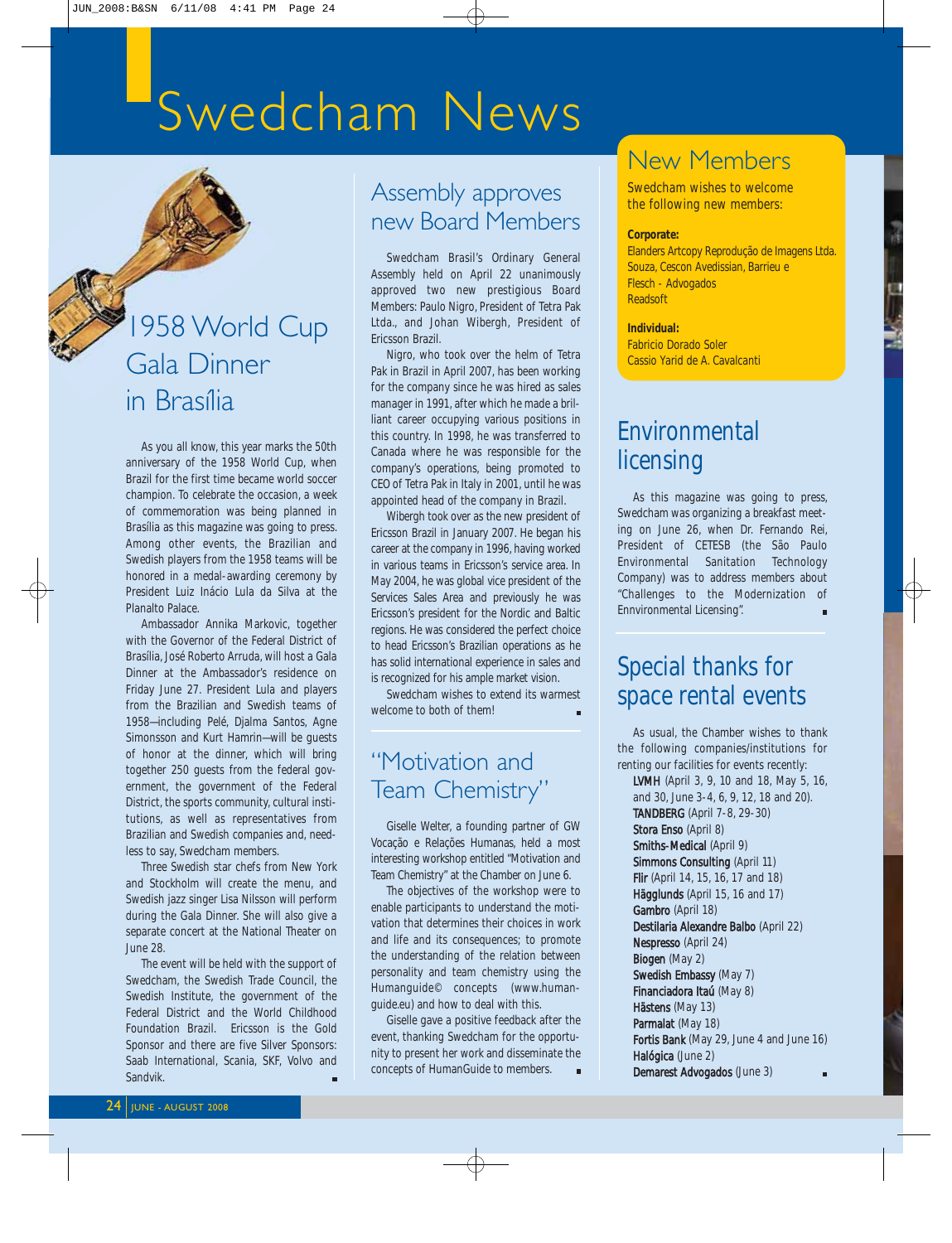# Swedcham News

## 1958 World Cup Gala Dinner in Brasília

As you all know, this year marks the 50th anniversary of the 1958 World Cup, when Brazil for the first time became world soccer champion. To celebrate the occasion, a week of commemoration was being planned in Brasília as this magazine was going to press. Among other events, the Brazilian and Swedish players from the 1958 teams will be honored in a medal-awarding ceremony by President Luiz Inácio Lula da Silva at the Planalto Palace.

Ambassador Annika Markovic, together with the Governor of the Federal District of Brasília, José Roberto Arruda, will host a Gala Dinner at the Ambassador's residence on Friday June 27. President Lula and players from the Brazilian and Swedish teams of 1958—including Pelé, Djalma Santos, Agne Simonsson and Kurt Hamrin—will be guests of honor at the dinner, which will bring together 250 guests from the federal government, the government of the Federal District, the sports community, cultural institutions, as well as representatives from Brazilian and Swedish companies and, needless to say, Swedcham members.

Three Swedish star chefs from New York and Stockholm will create the menu, and Swedish jazz singer Lisa Nilsson will perform during the Gala Dinner. She will also give a separate concert at the National Theater on June 28.

The event will be held with the support of Swedcham, the Swedish Trade Council, the Swedish Institute, the government of the Federal District and the World Childhood Foundation Brazil. Ericsson is the Gold Sponsor and there are five Silver Sponsors: Saab International, Scania, SKF, Volvo and Sandvik.

### Assembly approves new Board Members

Swedcham Brasil's Ordinary General Assembly held on April 22 unanimously approved two new prestigious Board Members: Paulo Nigro, President of Tetra Pak Ltda., and Johan Wibergh, President of Ericsson Brazil.

Nigro, who took over the helm of Tetra Pak in Brazil in April 2007, has been working for the company since he was hired as sales manager in 1991, after which he made a brilliant career occupying various positions in this country. In 1998, he was transferred to Canada where he was responsible for the company's operations, being promoted to CEO of Tetra Pak in Italy in 2001, until he was appointed head of the company in Brazil.

Wibergh took over as the new president of Ericsson Brazil in January 2007. He began his career at the company in 1996, having worked in various teams in Ericsson's service area. In May 2004, he was global vice president of the Services Sales Area and previously he was Ericsson's president for the Nordic and Baltic regions. He was considered the perfect choice to head Ericsson's Brazilian operations as he has solid international experience in sales and is recognized for his ample market vision.

Swedcham wishes to extend its warmest welcome to both of them!

## "Motivation and Team Chemistry"

Giselle Welter, a founding partner of GW Vocação e Relações Humanas, held a most interesting workshop entitled "Motivation and Team Chemistry" at the Chamber on June 6.

The objectives of the workshop were to enable participants to understand the motivation that determines their choices in work and life and its consequences; to promote the understanding of the relation between personality and team chemistry using the Humanguide© concepts (www.humanguide.eu) and how to deal with this.

Giselle gave a positive feedback after the event, thanking Swedcham for the opportunity to present her work and disseminate the concepts of HumanGuide to members.

## New Members

Swedcham wishes to welcome the following new members:

#### **Corporate:**

Elanders Artcopy Reprodução de Imagens Ltda. Souza, Cescon Avedissian, Barrieu e Flesch - Advogados Readsoft

#### **Individual:**

Fabricio Dorado Soler Cassio Yarid de A. Cavalcanti

## Environmental licensing

As this magazine was going to press, Swedcham was organizing a breakfast meeting on June 26, when Dr. Fernando Rei, President of CETESB (the São Paulo Environmental Sanitation Technology Company) was to address members about "Challenges to the Modernization of Ennvironmental Licensing".

## Special thanks for space rental events

As usual, the Chamber wishes to thank the following companies/institutions for renting our facilities for events recently: LVMH (April 3, 9, 10 and 18, May 5, 16, and 30, June 3-4, 6, 9, 12, 18 and 20). TANDBERG (April 7-8, 29-30) Stora Enso (April 8) Smiths-Medical (April 9) Simmons Consulting (April 11) Flir (April 14, 15, 16, 17 and 18) Hägglunds (April 15, 16 and 17) Gambro (April 18) Destilaria Alexandre Balbo (April 22) Nespresso (April 24) Biogen (May 2) Swedish Embassy (May 7) Financiadora Itaú (May 8) Hästens (May 13)

Parmalat (May 18) Fortis Bank (May 29, June 4 and June 16) Halógica (June 2) Demarest Advogados (June 3)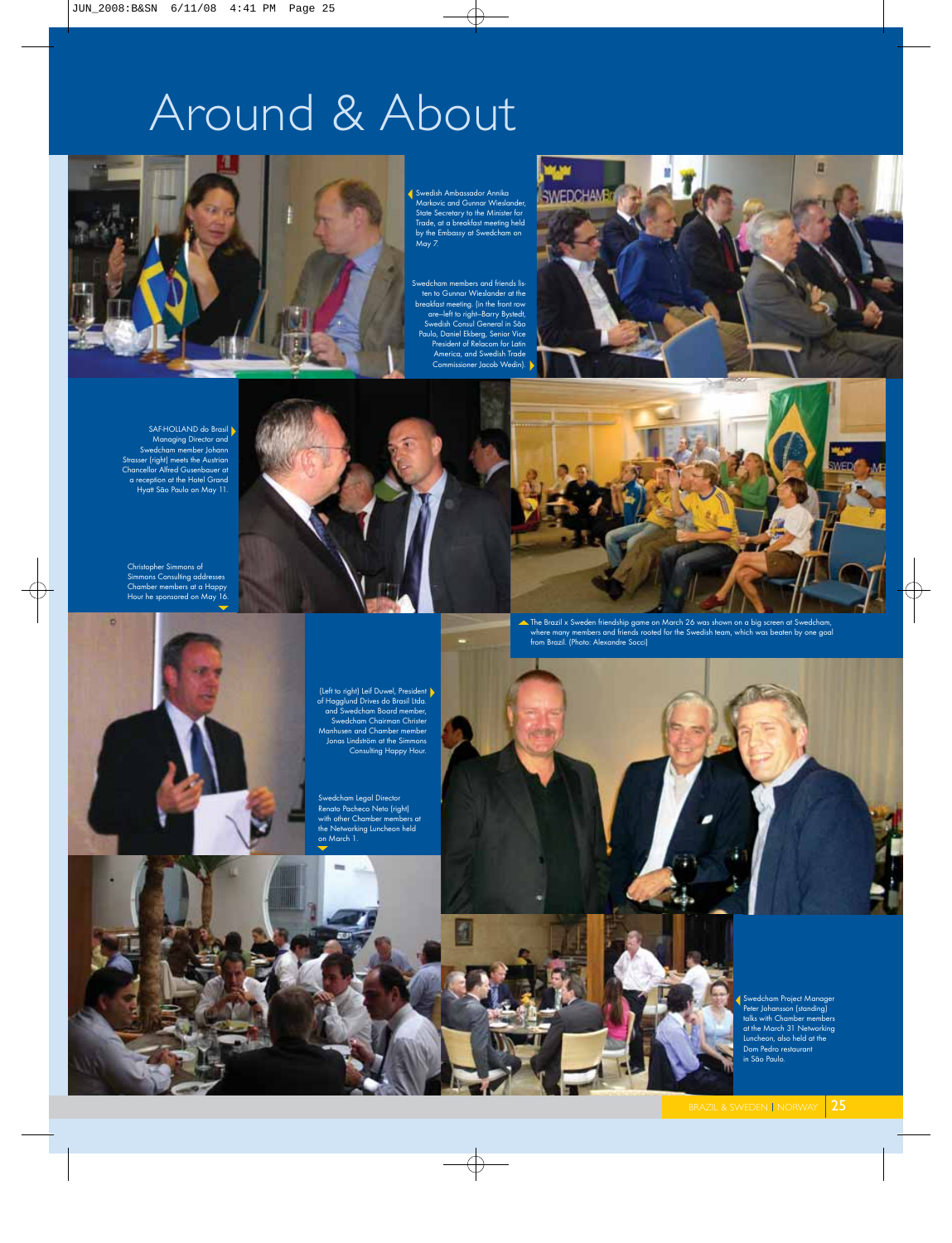# Around & About



Swedish Ambassador Annika Markovic and Gunnar Wieslander, State Secretary to the Minister for Trade, at a breakfast meeting held by the Embassy at Swedcham on May 7.

Swedcham members and friends listen to Gunnar Wieslander at the breakfast meeting. (in the front row<br>
are—left to right—Barry Bystedt,<br>
Swedish Consul General in São<br>
Paulo, Daniel Ekberg, Senior Vice<br>
President of Relacom for Latin America, and Swedish Trade Commissioner Jacob Wedin).



SAF-HOLLAND do Brasil Managing Director and Swedcham member Johann Strasser (right) meets the Austrian Chancellor Alfred Gusenbauer at a reception at the Hotel Grand Hyatt São Paulo on May 11.

Christopher Simmons of Simmons Consulting addresses Chamber members at a Happy Hour he sponsored on May 16.

 $\vec{v}$ 



The Brazil x Sweden friendship game on March 26 was shown on a big screen at Swedcham, where many members and friends rooted for the Swedish team, which was beaten by one goal from Brazil. (Photo: Alexandre Socci)



(Left to right) Leif Duwel, President of Hagglund Drives do Brasil Ltda. and Swedcham Board member, Swedcham Chairman Christer Manhusen and Chamber member Jonas Lindström at the Simmons Consulting Happy Hour.

Swedcham Legal Director Renato Pacheco Neto (right) with other Chamber members at the Networking Luncheon held on March 1.



Swedcham Project Manager Peter Johansson (standing) talks with Chamber members at the March 31 Networking Luncheon, also held at the Dom Pedro restaurant in São Paulo.

ngan<br>WEDI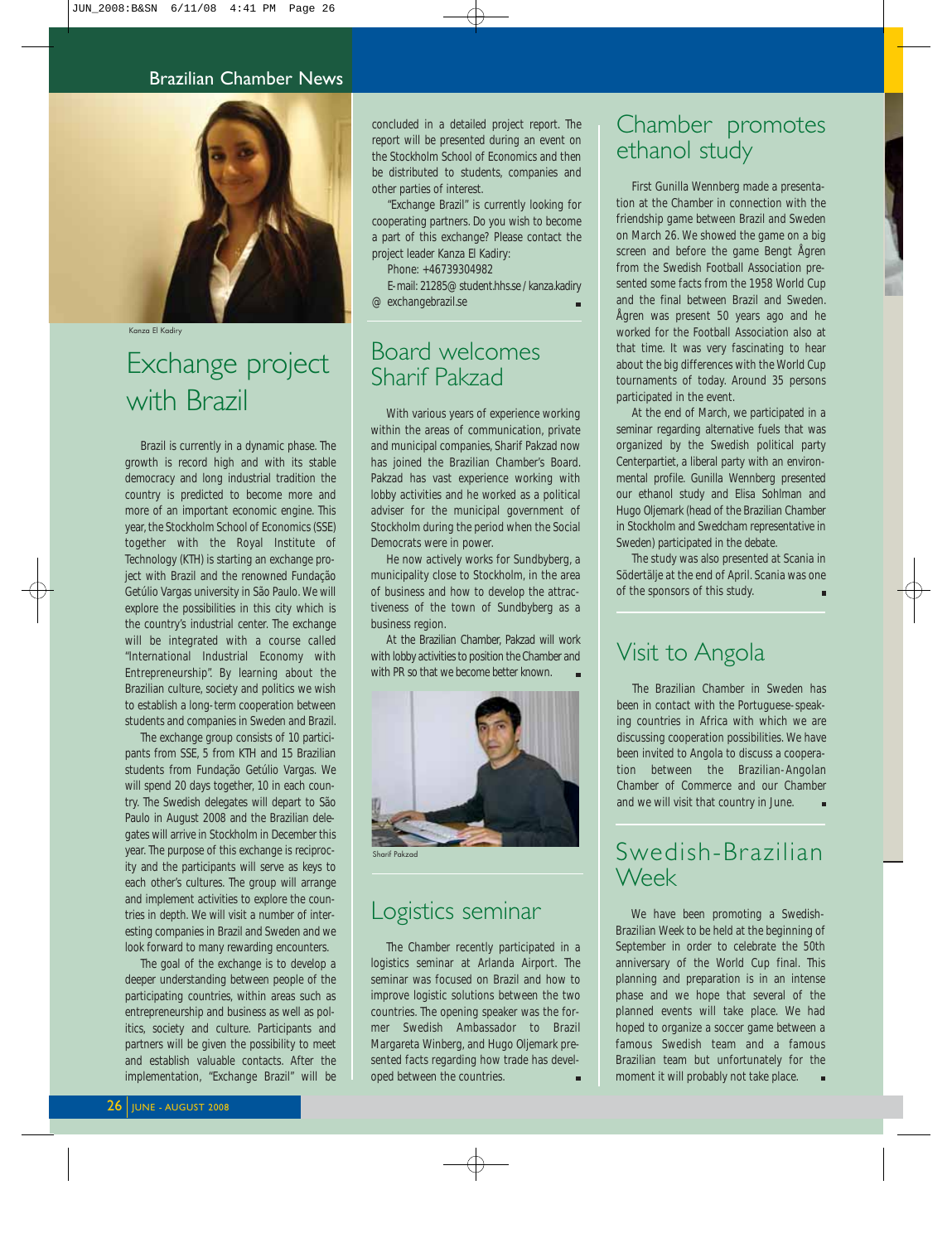#### Brazilian Chamber News



Kanza El Kadiry

## Exchange project with Brazil

Brazil is currently in a dynamic phase. The growth is record high and with its stable democracy and long industrial tradition the country is predicted to become more and more of an important economic engine. This year, the Stockholm School of Economics (SSE) together with the Royal Institute of Technology (KTH) is starting an exchange project with Brazil and the renowned Fundação Getúlio Vargas university in São Paulo. We will explore the possibilities in this city which is the country's industrial center. The exchange will be integrated with a course called "International Industrial Economy with Entrepreneurship". By learning about the Brazilian culture, society and politics we wish to establish a long-term cooperation between students and companies in Sweden and Brazil.

The exchange group consists of 10 participants from SSE, 5 from KTH and 15 Brazilian students from Fundação Getúlio Vargas. We will spend 20 days together, 10 in each country. The Swedish delegates will depart to São Paulo in August 2008 and the Brazilian delegates will arrive in Stockholm in December this year. The purpose of this exchange is reciprocity and the participants will serve as keys to each other's cultures. The group will arrange and implement activities to explore the countries in depth. We will visit a number of interesting companies in Brazil and Sweden and we look forward to many rewarding encounters.

The goal of the exchange is to develop a deeper understanding between people of the participating countries, within areas such as entrepreneurship and business as well as politics, society and culture. Participants and partners will be given the possibility to meet and establish valuable contacts. After the implementation, "Exchange Brazil" will be

concluded in a detailed project report. The report will be presented during an event on the Stockholm School of Economics and then be distributed to students, companies and other parties of interest.

"Exchange Brazil" is currently looking for cooperating partners. Do you wish to become a part of this exchange? Please contact the project leader Kanza El Kadiry:

Phone: +46739304982

E-mail: 21285@student.hhs.se / kanza.kadiry @ exchangebrazil.se

### Board welcomes Sharif Pakzad

With various years of experience working within the areas of communication, private and municipal companies, Sharif Pakzad now has joined the Brazilian Chamber's Board. Pakzad has vast experience working with lobby activities and he worked as a political adviser for the municipal government of Stockholm during the period when the Social Democrats were in power.

He now actively works for Sundbyberg, a municipality close to Stockholm, in the area of business and how to develop the attractiveness of the town of Sundbyberg as a business region.

At the Brazilian Chamber, Pakzad will work with lobby activities to position the Chamber and with PR so that we become better known.



Sharif Pakzad

### Logistics seminar

The Chamber recently participated in a logistics seminar at Arlanda Airport. The seminar was focused on Brazil and how to improve logistic solutions between the two countries. The opening speaker was the former Swedish Ambassador to Brazil Margareta Winberg, and Hugo Oljemark presented facts regarding how trade has developed between the countries.

### Chamber promotes ethanol study

First Gunilla Wennberg made a presentation at the Chamber in connection with the friendship game between Brazil and Sweden on March 26. We showed the game on a big screen and before the game Bengt Ågren from the Swedish Football Association presented some facts from the 1958 World Cup and the final between Brazil and Sweden. Ågren was present 50 years ago and he worked for the Football Association also at that time. It was very fascinating to hear about the big differences with the World Cup tournaments of today. Around 35 persons participated in the event.

At the end of March, we participated in a seminar regarding alternative fuels that was organized by the Swedish political party Centerpartiet, a liberal party with an environmental profile. Gunilla Wennberg presented our ethanol study and Elisa Sohlman and Hugo Oljemark (head of the Brazilian Chamber in Stockholm and Swedcham representative in Sweden) participated in the debate.

The study was also presented at Scania in Södertälje at the end of April. Scania was one of the sponsors of this study.

### Visit to Angola

The Brazilian Chamber in Sweden has been in contact with the Portuguese-speaking countries in Africa with which we are discussing cooperation possibilities. We have been invited to Angola to discuss a cooperation between the Brazilian-Angolan Chamber of Commerce and our Chamber and we will visit that country in June.

### Swedish-Brazilian Week

We have been promoting a Swedish-Brazilian Week to be held at the beginning of September in order to celebrate the 50th anniversary of the World Cup final. This planning and preparation is in an intense phase and we hope that several of the planned events will take place. We had hoped to organize a soccer game between a famous Swedish team and a famous Brazilian team but unfortunately for the moment it will probably not take place.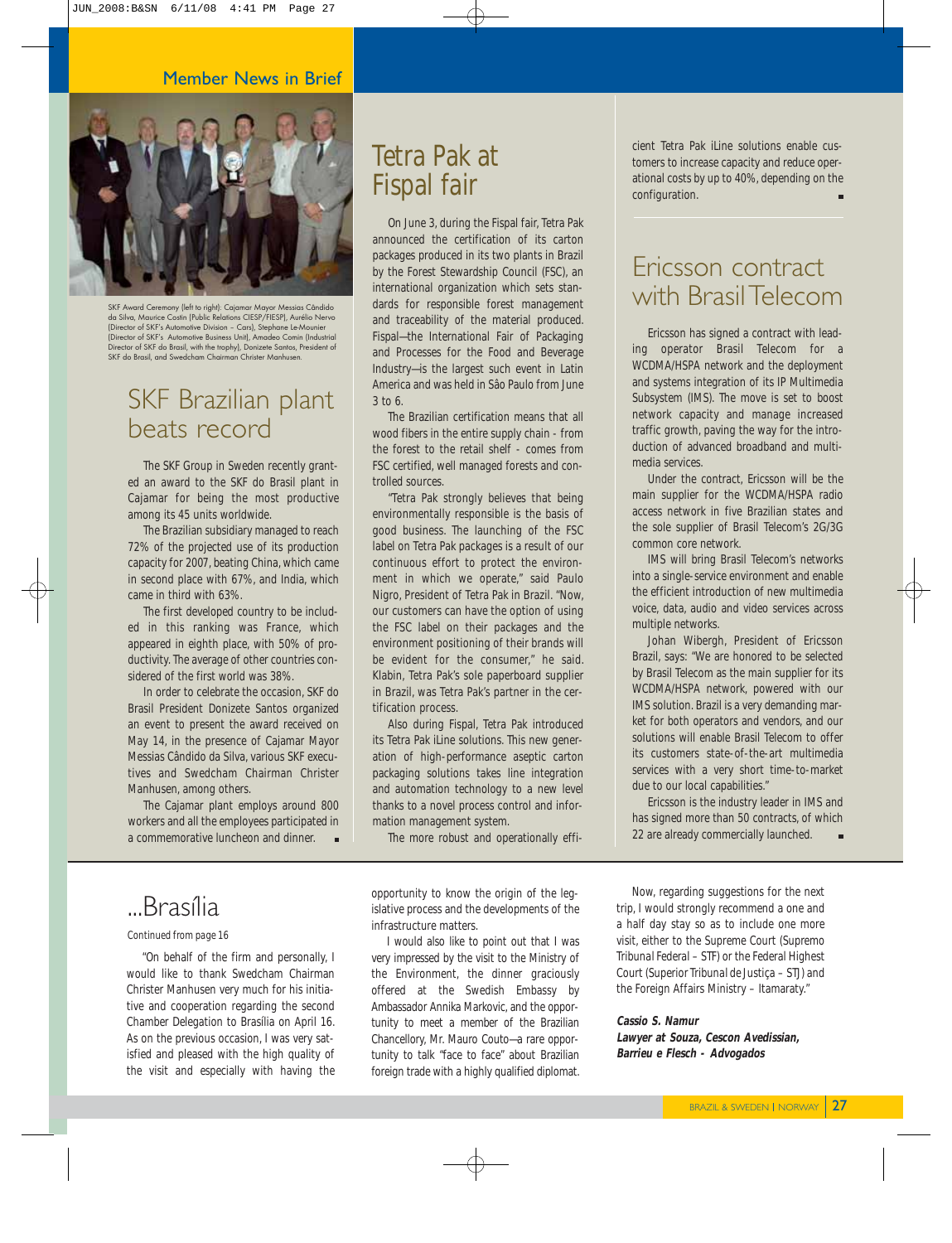

SKF Award Ceremony (left to right): Cajamar Mayor Messias Cândido da Silva, Maurice Costin (Public Relations CIESP/FIESP), Aurélio Nervo (Director of SKF's Automotive Division – Cars), Stephane Le-Mounier (Director of SKF's Automotive Business Unit), Amadeo Comin (Industrial Director of SKF do Brasil, with the trophy), Donizete Santos, President of SKF do Brasil, and Swedcham Chairman Christer Manhusen.

### SKF Brazilian plant beats record

The SKF Group in Sweden recently granted an award to the SKF do Brasil plant in Cajamar for being the most productive among its 45 units worldwide.

The Brazilian subsidiary managed to reach 72% of the projected use of its production capacity for 2007, beating China, which came in second place with 67%, and India, which came in third with 63%.

The first developed country to be included in this ranking was France, which appeared in eighth place, with 50% of productivity. The average of other countries considered of the first world was 38%.

In order to celebrate the occasion, SKF do Brasil President Donizete Santos organized an event to present the award received on May 14, in the presence of Cajamar Mayor Messias Cândido da Silva, various SKF executives and Swedcham Chairman Christer Manhusen, among others.

The Cajamar plant employs around 800 workers and all the employees participated in a commemorative luncheon and dinner.

## Tetra Pak at Fispal fair

On June 3, during the Fispal fair, Tetra Pak announced the certification of its carton packages produced in its two plants in Brazil by the Forest Stewardship Council (FSC), an international organization which sets standards for responsible forest management and traceability of the material produced. Fispal—the International Fair of Packaging and Processes for the Food and Beverage Industry—is the largest such event in Latin America and was held in Sâo Paulo from June 3 to 6.

The Brazilian certification means that all wood fibers in the entire supply chain - from the forest to the retail shelf - comes from FSC certified, well managed forests and controlled sources.

"Tetra Pak strongly believes that being environmentally responsible is the basis of good business. The launching of the FSC label on Tetra Pak packages is a result of our continuous effort to protect the environment in which we operate," said Paulo Nigro, President of Tetra Pak in Brazil. "Now, our customers can have the option of using the FSC label on their packages and the environment positioning of their brands will be evident for the consumer," he said. Klabin, Tetra Pak's sole paperboard supplier in Brazil, was Tetra Pak's partner in the certification process.

Also during Fispal, Tetra Pak introduced its Tetra Pak iLine solutions. This new generation of high-performance aseptic carton packaging solutions takes line integration and automation technology to a new level thanks to a novel process control and information management system.

The more robust and operationally effi-

opportunity to know the origin of the legislative process and the developments of the infrastructure matters.

I would also like to point out that I was very impressed by the visit to the Ministry of the Environment, the dinner graciously offered at the Swedish Embassy by Ambassador Annika Markovic, and the opportunity to meet a member of the Brazilian Chancellory, Mr. Mauro Couto—a rare opportunity to talk "face to face" about Brazilian foreign trade with a highly qualified diplomat.

cient Tetra Pak iLine solutions enable customers to increase capacity and reduce operational costs by up to 40%, depending on the configuration.

### Ericsson contract with Brasil Telecom

Ericsson has signed a contract with leading operator Brasil Telecom for a WCDMA/HSPA network and the deployment and systems integration of its IP Multimedia Subsystem (IMS). The move is set to boost network capacity and manage increased traffic growth, paving the way for the introduction of advanced broadband and multimedia services.

Under the contract, Ericsson will be the main supplier for the WCDMA/HSPA radio access network in five Brazilian states and the sole supplier of Brasil Telecom's 2G/3G common core network.

IMS will bring Brasil Telecom's networks into a single-service environment and enable the efficient introduction of new multimedia voice, data, audio and video services across multiple networks.

Johan Wibergh, President of Ericsson Brazil, says: "We are honored to be selected by Brasil Telecom as the main supplier for its WCDMA/HSPA network, powered with our IMS solution. Brazil is a very demanding market for both operators and vendors, and our solutions will enable Brasil Telecom to offer its customers state-of-the-art multimedia services with a very short time-to-market due to our local capabilities."

Ericsson is the industry leader in IMS and has signed more than 50 contracts, of which 22 are already commercially launched.

## ...Brasília

#### *Continued from page 16*

"On behalf of the firm and personally, I would like to thank Swedcham Chairman Christer Manhusen very much for his initiative and cooperation regarding the second Chamber Delegation to Brasília on April 16. As on the previous occasion, I was very satisfied and pleased with the high quality of the visit and especially with having the

trip, I would strongly recommend a one and a half day stay so as to include one more visit, either to the Supreme Court (*Supremo Tribunal Federal* – STF) or the Federal Highest Court (*Superior Tribunal de Justiça* – STJ) and the Foreign Affairs Ministry – Itamaraty."

Now, regarding suggestions for the next

#### **Cassio S. Namur Lawyer at Souza, Cescon Avedissian, Barrieu e Flesch - Advogados**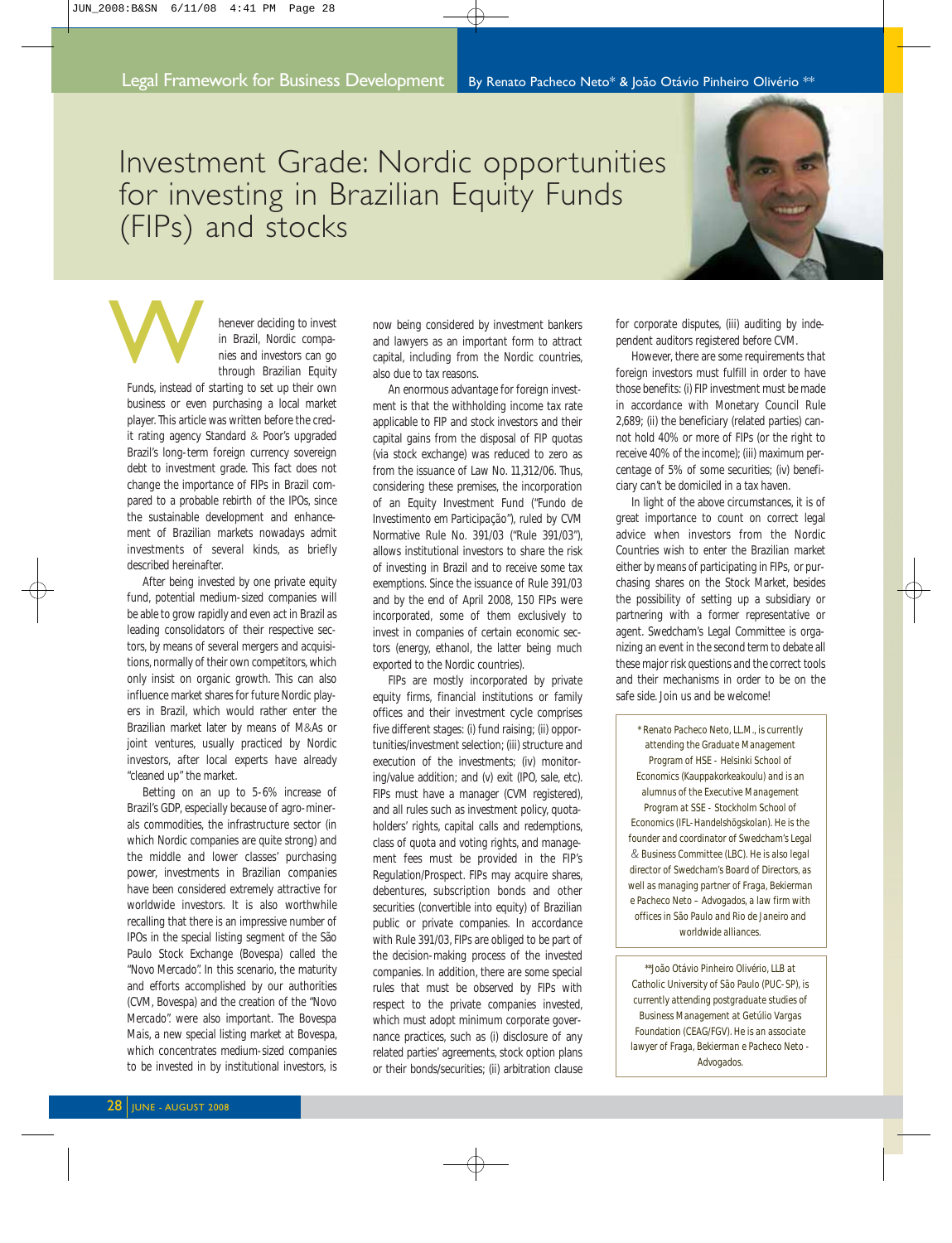## Investment Grade: Nordic opportunities for investing in Brazilian Equity Funds (FIPs) and stocks



henever deciding to invest in Brazil, Nordic companies and investors can go through Brazilian Equity

Funds, instead of starting to set up their own business or even purchasing a local market player. This article was written before the credit rating agency Standard & Poor's upgraded Brazil's long-term foreign currency sovereign debt to investment grade. This fact does not change the importance of FIPs in Brazil compared to a probable rebirth of the IPOs, since the sustainable development and enhancement of Brazilian markets nowadays admit investments of several kinds, as briefly described hereinafter. W<br>W

After being invested by one private equity fund, potential medium-sized companies will be able to grow rapidly and even act in Brazil as leading consolidators of their respective sectors, by means of several mergers and acquisitions, normally of their own competitors, which only insist on organic growth. This can also influence market shares for future Nordic players in Brazil, which would rather enter the Brazilian market later by means of M&As or joint ventures, usually practiced by Nordic investors, after local experts have already "cleaned up" the market.

Betting on an up to 5-6% increase of Brazil's GDP, especially because of agro-minerals commodities, the infrastructure sector (in which Nordic companies are quite strong) and the middle and lower classes' purchasing power, investments in Brazilian companies have been considered extremely attractive for worldwide investors. It is also worthwhile recalling that there is an impressive number of IPOs in the special listing segment of the São Paulo Stock Exchange (Bovespa) called the *"Novo Mercado".* In this scenario, the maturity and efforts accomplished by our authorities (CVM, Bovespa) and the creation of the *"Novo Mercado".* were also important. The *Bovespa Mais*, a new special listing market at Bovespa, which concentrates medium-sized companies to be invested in by institutional investors, is now being considered by investment bankers and lawyers as an important form to attract capital, including from the Nordic countries, also due to tax reasons.

An enormous advantage for foreign investment is that the withholding income tax rate applicable to FIP and stock investors and their capital gains from the disposal of FIP quotas (via stock exchange) was reduced to zero as from the issuance of Law No. 11,312/06. Thus, considering these premises, the incorporation of an Equity Investment Fund ("*Fundo de Investimento em Participação*"), ruled by CVM Normative Rule No. 391/03 ("Rule 391/03"), allows institutional investors to share the risk of investing in Brazil and to receive some tax exemptions. Since the issuance of Rule 391/03 and by the end of April 2008, 150 FIPs were incorporated, some of them exclusively to invest in companies of certain economic sectors (energy, ethanol, the latter being much exported to the Nordic countries).

FIPs are mostly incorporated by private equity firms, financial institutions or family offices and their investment cycle comprises five different stages: (i) fund raising; (ii) opportunities/investment selection; (iii) structure and execution of the investments; (iv) monitoring/value addition; and (v) exit (IPO, sale, etc). FIPs must have a manager (CVM registered), and all rules such as investment policy, quotaholders' rights, capital calls and redemptions, class of quota and voting rights, and management fees must be provided in the FIP's Regulation/Prospect. FIPs may acquire shares, debentures, subscription bonds and other securities (convertible into equity) of Brazilian public or private companies. In accordance with Rule 391/03, FIPs are obliged to be part of the decision-making process of the invested companies. In addition, there are some special rules that must be observed by FIPs with respect to the private companies invested, which must adopt minimum corporate governance practices, such as (i) disclosure of any related parties' agreements, stock option plans or their bonds/securities; (ii) arbitration clause

for corporate disputes, (iii) auditing by independent auditors registered before CVM.

However, there are some requirements that foreign investors must fulfill in order to have those benefits: (i) FIP investment must be made in accordance with Monetary Council Rule 2,689; (ii) the beneficiary (related parties) cannot hold 40% or more of FIPs (or the right to receive 40% of the income); (iii) maximum percentage of 5% of some securities; (iv) beneficiary can't be domiciled in a tax haven.

In light of the above circumstances, it is of great importance to count on correct legal advice when investors from the Nordic Countries wish to enter the Brazilian market either by means of participating in FIPs, or purchasing shares on the Stock Market, besides the possibility of setting up a subsidiary or partnering with a former representative or agent. Swedcham's Legal Committee is organizing an event in the second term to debate all these major risk questions and the correct tools and their mechanisms in order to be on the safe side. Join us and be welcome!

*\* Renato Pacheco Neto, LL.M., is currently attending the Graduate Management Program of HSE - Helsinki School of Economics (Kauppakorkeakoulu) and is an alumnus of the Executive Management Program at SSE - Stockholm School of Economics (IFL-Handelshögskolan). He is the founder and coordinator of Swedcham's Legal & Business Committee (LBC). He is also legal director of Swedcham's Board of Directors, as well as managing partner of Fraga, Bekierman e Pacheco Neto – Advogados, a law firm with offices in São Paulo and Rio de Janeiro and worldwide alliances.*

*\*\*João Otávio Pinheiro Olivério, LLB at Catholic University of São Paulo (PUC-SP), is currently attending postgraduate studies of Business Management at Getúlio Vargas Foundation (CEAG/FGV). He is an associate lawyer of Fraga, Bekierman e Pacheco Neto - Advogados.*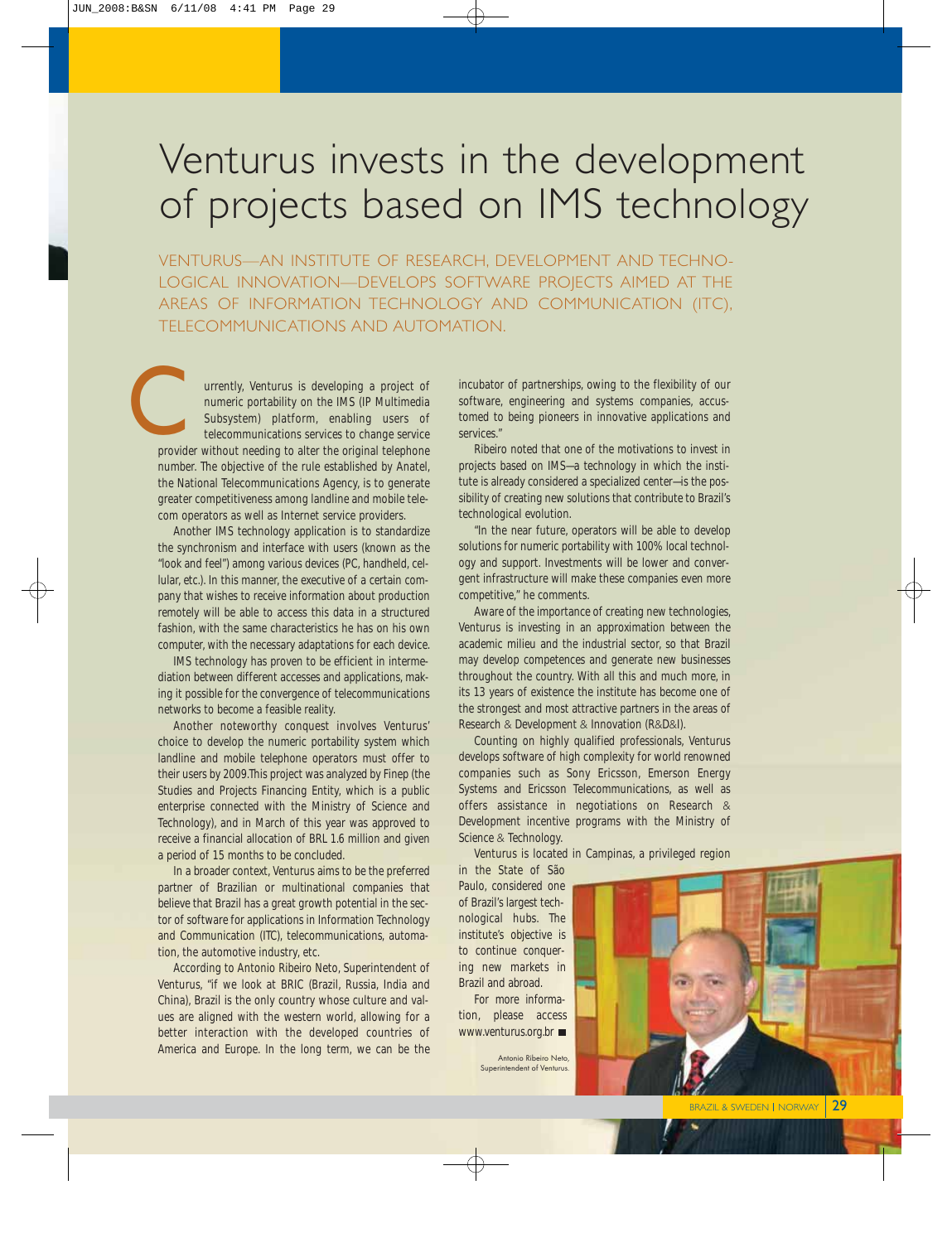## Venturus invests in the development of projects based on IMS technology

VENTURUS—AN INSTITUTE OF RESEARCH, DEVELOPMENT AND TECHNO-LOGICAL INNOVATION—DEVELOPS SOFTWARE PROJECTS AIMED AT THE AREAS OF INFORMATION TECHNOLOGY AND COMMUNICATION (ITC), TELECOMMUNICATIONS AND AUTOMATION.

urrently, Venturus is developing a project of numeric portability on the IMS (IP Multimedia Subsystem) platform, enabling users of telecommunications services to change service provider without needing to alter the original telephone number. The objective of the rule established by Anatel, the National Telecommunications Agency, is to generate greater competitiveness among landline and mobile telecom operators as well as Internet service providers. **CONTROL**<br>provid

Another IMS technology application is to standardize the synchronism and interface with users (known as the "look and feel") among various devices (PC, handheld, cellular, etc.). In this manner, the executive of a certain company that wishes to receive information about production remotely will be able to access this data in a structured fashion, with the same characteristics he has on his own computer, with the necessary adaptations for each device.

IMS technology has proven to be efficient in intermediation between different accesses and applications, making it possible for the convergence of telecommunications networks to become a feasible reality.

Another noteworthy conquest involves Venturus' choice to develop the numeric portability system which landline and mobile telephone operators must offer to their users by 2009.This project was analyzed by Finep (the Studies and Projects Financing Entity, which is a public enterprise connected with the Ministry of Science and Technology), and in March of this year was approved to receive a financial allocation of BRL 1.6 million and given a period of 15 months to be concluded.

In a broader context, Venturus aims to be the preferred partner of Brazilian or multinational companies that believe that Brazil has a great growth potential in the sector of software for applications in Information Technology and Communication (ITC), telecommunications, automation, the automotive industry, etc.

According to Antonio Ribeiro Neto, Superintendent of Venturus, "if we look at BRIC (Brazil, Russia, India and China), Brazil is the only country whose culture and values are aligned with the western world, allowing for a better interaction with the developed countries of America and Europe. In the long term, we can be the

incubator of partnerships, owing to the flexibility of our software, engineering and systems companies, accustomed to being pioneers in innovative applications and services."

Ribeiro noted that one of the motivations to invest in projects based on IMS—a technology in which the institute is already considered a specialized center—is the possibility of creating new solutions that contribute to Brazil's technological evolution.

"In the near future, operators will be able to develop solutions for numeric portability with 100% local technology and support. Investments will be lower and convergent infrastructure will make these companies even more competitive," he comments.

Aware of the importance of creating new technologies, Venturus is investing in an approximation between the academic milieu and the industrial sector, so that Brazil may develop competences and generate new businesses throughout the country. With all this and much more, in its 13 years of existence the institute has become one of the strongest and most attractive partners in the areas of Research & Development & Innovation (R&D&I).

Counting on highly qualified professionals, Venturus develops software of high complexity for world renowned companies such as Sony Ericsson, Emerson Energy Systems and Ericsson Telecommunications, as well as offers assistance in negotiations on Research & Development incentive programs with the Ministry of Science & Technology.

Venturus is located in Campinas, a privileged region

in the State of São Paulo, considered one of Brazil's largest technological hubs. The institute's objective is to continue conquering new markets in Brazil and abroad.

For more information, please access www.venturus.org.br ■

> Antonio Ribeiro Neto, Superintendent of Venturus.

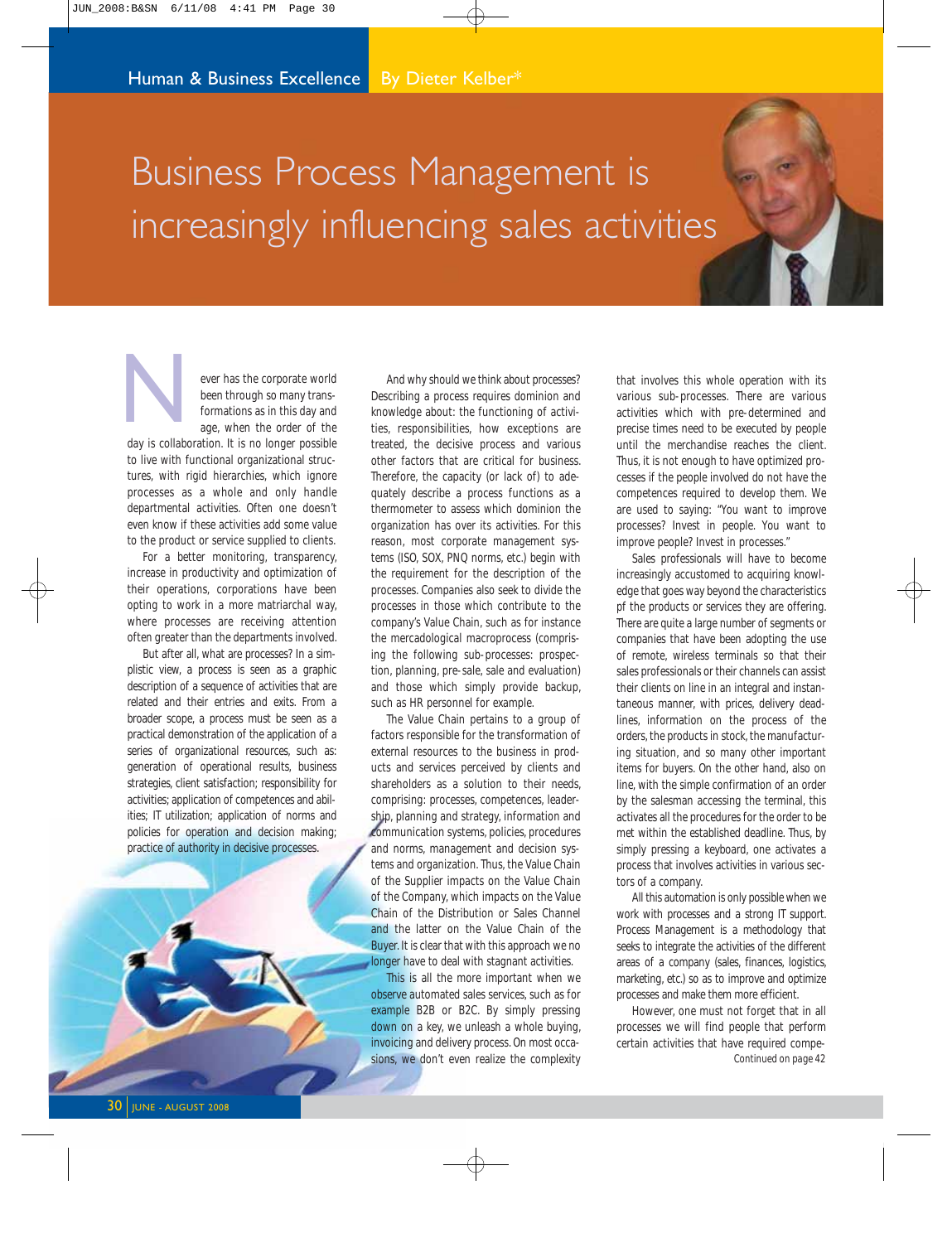# Business Process Management is increasingly influencing sales activities

ever has the corporate world been through so many transformations as in this day and age, when the order of the day is collaboration. It is no longer possible N

to live with functional organizational structures, with rigid hierarchies, which ignore processes as a whole and only handle departmental activities. Often one doesn't even know if these activities add some value to the product or service supplied to clients.

For a better monitoring, transparency, increase in productivity and optimization of their operations, corporations have been opting to work in a more matriarchal way, where processes are receiving attention often greater than the departments involved.

But after all, what are processes? In a simplistic view, a process is seen as a graphic description of a sequence of activities that are related and their entries and exits. From a broader scope, a process must be seen as a practical demonstration of the application of a series of organizational resources, such as: generation of operational results, business strategies, client satisfaction; responsibility for activities; application of competences and abilities; IT utilization; application of norms and policies for operation and decision making; practice of authority in decisive processes.

And why should we think about processes? Describing a process requires dominion and knowledge about: the functioning of activities, responsibilities, how exceptions are treated, the decisive process and various other factors that are critical for business. Therefore, the capacity (or lack of) to adequately describe a process functions as a thermometer to assess which dominion the organization has over its activities. For this reason, most corporate management systems (ISO, SOX, PNQ norms, etc.) begin with the requirement for the description of the processes. Companies also seek to divide the processes in those which contribute to the company's Value Chain, such as for instance the mercadological macroprocess (comprising the following sub-processes: prospection, planning, pre-sale, sale and evaluation) and those which simply provide backup, such as HR personnel for example.

The Value Chain pertains to a group of factors responsible for the transformation of external resources to the business in products and services perceived by clients and shareholders as a solution to their needs, comprising: processes, competences, leadership, planning and strategy, information and communication systems, policies, procedures and norms, management and decision systems and organization. Thus, the Value Chain of the Supplier impacts on the Value Chain of the Company, which impacts on the Value Chain of the Distribution or Sales Channel and the latter on the Value Chain of the Buyer. It is clear that with this approach we no longer have to deal with stagnant activities.

This is all the more important when we observe automated sales services, such as for example B2B or B2C. By simply pressing down on a key, we unleash a whole buying, invoicing and delivery process. On most occasions, we don't even realize the complexity

that involves this whole operation with its various sub-processes. There are various activities which with pre-determined and precise times need to be executed by people until the merchandise reaches the client. Thus, it is not enough to have optimized processes if the people involved do not have the competences required to develop them. We are used to saying: "You want to improve processes? Invest in people. You want to improve people? Invest in processes."

Sales professionals will have to become increasingly accustomed to acquiring knowledge that goes way beyond the characteristics pf the products or services they are offering. There are quite a large number of segments or companies that have been adopting the use of remote, wireless terminals so that their sales professionals or their channels can assist their clients on line in an integral and instantaneous manner, with prices, delivery deadlines, information on the process of the orders, the products in stock, the manufacturing situation, and so many other important items for buyers. On the other hand, also on line, with the simple confirmation of an order by the salesman accessing the terminal, this activates all the procedures for the order to be met within the established deadline. Thus, by simply pressing a keyboard, one activates a process that involves activities in various sectors of a company.

All this automation is only possible when we work with processes and a strong IT support. Process Management is a methodology that seeks to integrate the activities of the different areas of a company (sales, finances, logistics, marketing, etc.) so as to improve and optimize processes and make them more efficient.

However, one must not forget that in all processes we will find people that perform certain activities that have required compe-*Continued on page 42*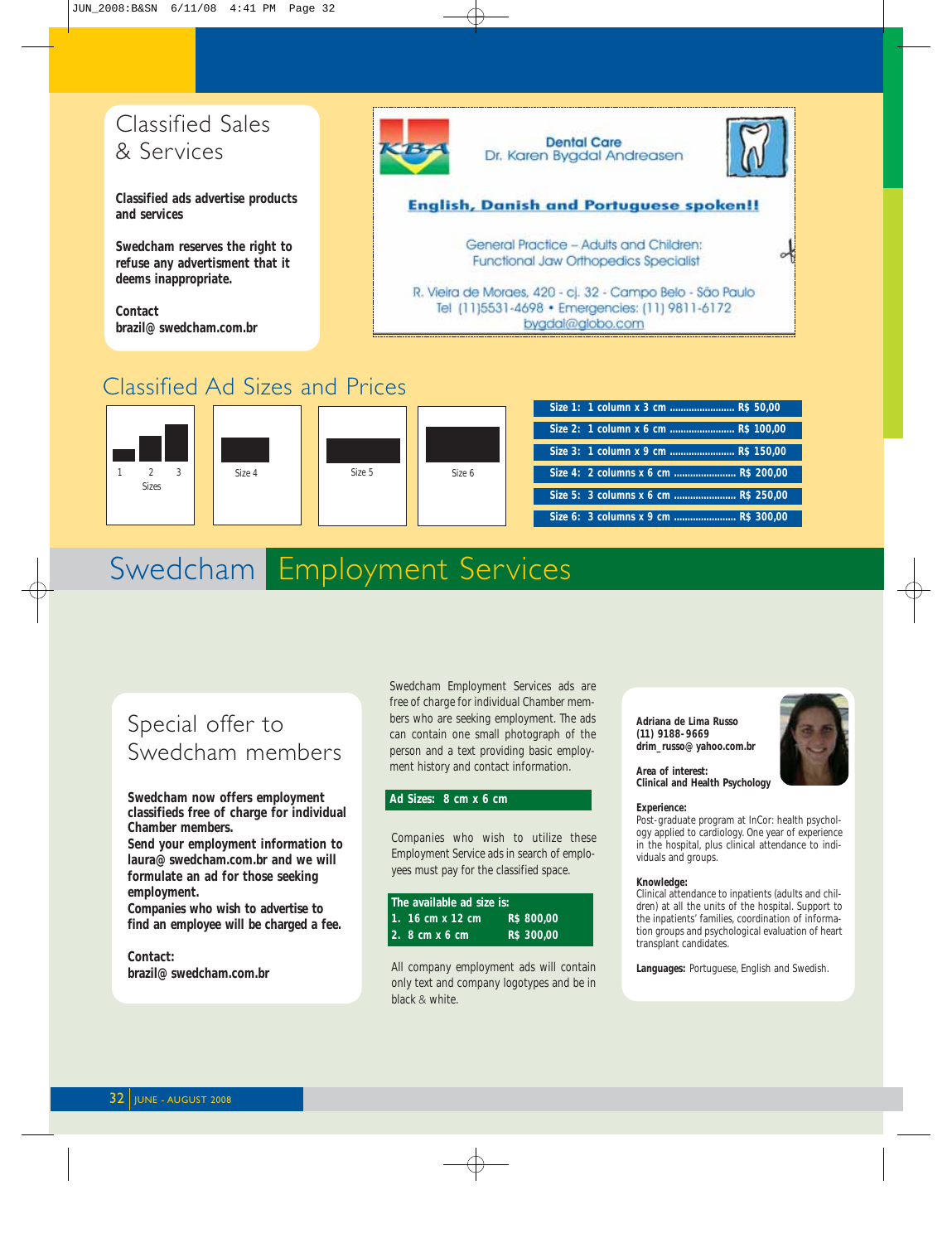### Classified Sales & Services

**Classified ads advertise products and services**

**Swedcham reserves the right to refuse any advertisment that it deems inappropriate.**

**Contact brazil@swedcham.com.br**



Classified Ad Sizes and Prices



## Swedcham Employment Services

### Special offer to Swedcham members

**Swedcham now offers employment classifieds free of charge for individual Chamber members.**

**Send your employment information to laura@swedcham.com.br and we will formulate an ad for those seeking employment.**

**Companies who wish to advertise to find an employee will be charged a fee.**

**Contact: brazil@swedcham.com.br** Swedcham Employment Services ads are free of charge for individual Chamber members who are seeking employment. The ads can contain one small photograph of the person and a text providing basic employment history and contact information.

#### **Ad Sizes: 8 cm x 6 cm**

Companies who wish to utilize these Employment Service ads in search of employees must pay for the classified space.

| The available ad size is: |            |
|---------------------------|------------|
| l 1. 16 cm x 12 cm        | R\$ 800,00 |
| I2. 8 cm x 6 cm           | R\$ 300.00 |

All company employment ads will contain only text and company logotypes and be in black & white.

**Adriana de Lima Russo (11) 9188-9669 drim\_russo@yahoo.com.br**



**Area of interest: Clinical and Health Psychology**

#### **Experience:**

Post-graduate program at InCor: health psychology applied to cardiology. One year of experience in the hospital, plus clinical attendance to individuals and groups.

#### **Knowledge:**

Clinical attendance to inpatients (adults and children) at all the units of the hospital. Support to the inpatients' families, coordination of information groups and psychological evaluation of heart transplant candidates.

**Languages:** Portuguese, English and Swedish.